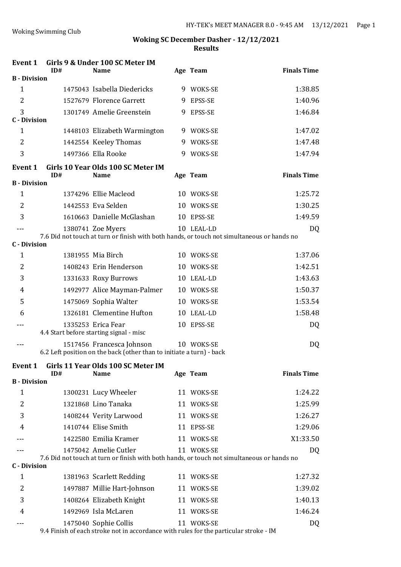| Event 1                  | ID# | Girls 9 & Under 100 SC Meter IM<br><b>Name</b>                                                    |   | Age Team   | <b>Finals Time</b> |
|--------------------------|-----|---------------------------------------------------------------------------------------------------|---|------------|--------------------|
| <b>B</b> - Division      |     |                                                                                                   |   |            |                    |
| $\mathbf{1}$             |     | 1475043 Isabella Diedericks                                                                       |   | 9 WOKS-SE  | 1:38.85            |
| $\overline{2}$           |     | 1527679 Florence Garrett                                                                          |   | 9 EPSS-SE  | 1:40.96            |
| 3<br><b>C</b> - Division |     | 1301749 Amelie Greenstein                                                                         | 9 | EPSS-SE    | 1:46.84            |
| $\mathbf{1}$             |     | 1448103 Elizabeth Warmington                                                                      |   | 9 WOKS-SE  | 1:47.02            |
| 2                        |     | 1442554 Keeley Thomas                                                                             |   | 9 WOKS-SE  | 1:47.48            |
| 3                        |     | 1497366 Ella Rooke                                                                                | 9 | WOKS-SE    | 1:47.94            |
| Event 1                  | ID# | Girls 10 Year Olds 100 SC Meter IM<br><b>Name</b>                                                 |   | Age Team   | <b>Finals Time</b> |
| <b>B</b> - Division      |     |                                                                                                   |   |            |                    |
| $\mathbf{1}$             |     | 1374296 Ellie Macleod                                                                             |   | 10 WOKS-SE | 1:25.72            |
| $\overline{2}$           |     | 1442553 Eva Selden                                                                                |   | 10 WOKS-SE | 1:30.25            |
| 3                        |     | 1610663 Danielle McGlashan                                                                        |   | 10 EPSS-SE | 1:49.59            |
|                          |     | 1380741 Zoe Myers                                                                                 |   | 10 LEAL-LD | DQ                 |
| <b>C</b> - Division      |     | 7.6 Did not touch at turn or finish with both hands, or touch not simultaneous or hands no        |   |            |                    |
| 1                        |     | 1381955 Mia Birch                                                                                 |   | 10 WOKS-SE | 1:37.06            |
| $\overline{2}$           |     | 1408243 Erin Henderson                                                                            |   | 10 WOKS-SE | 1:42.51            |
| 3                        |     | 1331633 Roxy Burrows                                                                              |   | 10 LEAL-LD | 1:43.63            |
| 4                        |     | 1492977 Alice Mayman-Palmer                                                                       |   | 10 WOKS-SE | 1:50.37            |
| 5                        |     | 1475069 Sophia Walter                                                                             |   | 10 WOKS-SE | 1:53.54            |
| 6                        |     | 1326181 Clementine Hufton                                                                         |   | 10 LEAL-LD | 1:58.48            |
|                          |     | 1335253 Erica Fear<br>4.4 Start before starting signal - misc                                     |   | 10 EPSS-SE | DQ                 |
| ---                      |     | 1517456 Francesca Johnson<br>6.2 Left position on the back (other than to initiate a turn) - back |   | 10 WOKS-SE | DQ                 |
|                          |     |                                                                                                   |   |            |                    |
| Event 1                  | ID# | Girls 11 Year Olds 100 SC Meter IM<br><b>Name</b>                                                 |   | Age Team   | <b>Finals Time</b> |
| <b>B</b> - Division      |     |                                                                                                   |   |            |                    |
| $\mathbf{1}$             |     | 1300231 Lucy Wheeler                                                                              |   | 11 WOKS-SE | 1:24.22            |
| 2                        |     | 1321868 Lino Tanaka                                                                               |   | 11 WOKS-SE | 1:25.99            |
| 3                        |     | 1408244 Verity Larwood                                                                            |   | 11 WOKS-SE | 1:26.27            |
| 4                        |     | 1410744 Elise Smith                                                                               |   | 11 EPSS-SE | 1:29.06            |
|                          |     | 1422580 Emilia Kramer                                                                             |   | 11 WOKS-SE | X1:33.50           |
|                          |     | 1475042 Amelie Cutler                                                                             |   | 11 WOKS-SE | DQ                 |
| <b>C</b> - Division      |     | 7.6 Did not touch at turn or finish with both hands, or touch not simultaneous or hands no        |   |            |                    |
| 1                        |     | 1381963 Scarlett Redding                                                                          |   | 11 WOKS-SE | 1:27.32            |
| 2                        |     | 1497887 Millie Hart-Johnson                                                                       |   | 11 WOKS-SE | 1:39.02            |
| 3                        |     | 1408264 Elizabeth Knight                                                                          |   | 11 WOKS-SE | 1:40.13            |
| 4                        |     | 1492969 Isla McLaren                                                                              |   | 11 WOKS-SE | 1:46.24            |
|                          |     | 1475040 Sophie Collis                                                                             |   | 11 WOKS-SE | DQ                 |
|                          |     | 9.4 Finish of each stroke not in accordance with rules for the particular stroke - IM             |   |            |                    |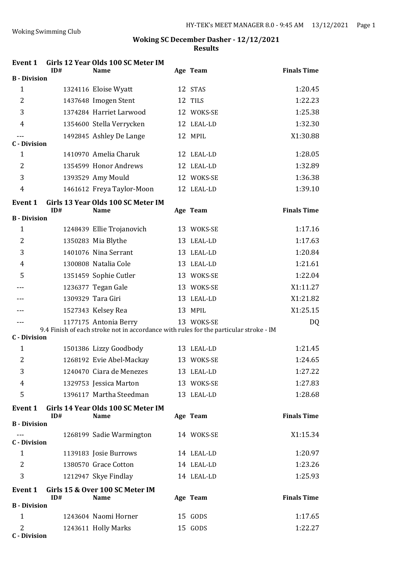| <b>Event 1</b>           | ID# | Girls 12 Year Olds 100 SC Meter IM<br><b>Name</b> | Age Team                                                                              | <b>Finals Time</b> |
|--------------------------|-----|---------------------------------------------------|---------------------------------------------------------------------------------------|--------------------|
| <b>B</b> - Division      |     |                                                   |                                                                                       |                    |
| $\mathbf{1}$             |     | 1324116 Eloise Wyatt                              | 12 STAS                                                                               | 1:20.45            |
| $\overline{2}$           |     | 1437648 Imogen Stent                              | 12 TILS                                                                               | 1:22.23            |
| 3                        |     | 1374284 Harriet Larwood                           | 12 WOKS-SE                                                                            | 1:25.38            |
| 4                        |     | 1354600 Stella Verrycken                          | 12 LEAL-LD                                                                            | 1:32.30            |
|                          |     | 1492845 Ashley De Lange                           | 12 MPIL                                                                               | X1:30.88           |
| <b>C</b> - Division      |     |                                                   |                                                                                       |                    |
| $\mathbf{1}$             |     | 1410970 Amelia Charuk                             | 12 LEAL-LD                                                                            | 1:28.05            |
| $\overline{2}$           |     | 1354599 Honor Andrews                             | 12 LEAL-LD                                                                            | 1:32.89            |
| 3                        |     | 1393529 Amy Mould                                 | 12 WOKS-SE                                                                            | 1:36.38            |
| $\overline{4}$           |     | 1461612 Freya Taylor-Moon                         | 12 LEAL-LD                                                                            | 1:39.10            |
| <b>Event 1</b>           |     | Girls 13 Year Olds 100 SC Meter IM                |                                                                                       |                    |
| <b>B</b> - Division      | ID# | <b>Name</b>                                       | Age Team                                                                              | <b>Finals Time</b> |
| $\mathbf{1}$             |     | 1248439 Ellie Trojanovich                         | 13 WOKS-SE                                                                            | 1:17.16            |
| 2                        |     | 1350283 Mia Blythe                                | 13 LEAL-LD                                                                            | 1:17.63            |
| 3                        |     | 1401076 Nina Serrant                              | 13 LEAL-LD                                                                            | 1:20.84            |
| 4                        |     | 1300808 Natalia Cole                              | 13 LEAL-LD                                                                            | 1:21.61            |
| 5                        |     | 1351459 Sophie Cutler                             | 13 WOKS-SE                                                                            | 1:22.04            |
|                          |     | 1236377 Tegan Gale                                | 13 WOKS-SE                                                                            | X1:11.27           |
|                          |     | 1309329 Tara Giri                                 | 13 LEAL-LD                                                                            | X1:21.82           |
|                          |     | 1527343 Kelsey Rea                                | 13 MPIL                                                                               | X1:25.15           |
|                          |     | 1177175 Antonia Berry                             | 13 WOKS-SE                                                                            | DQ                 |
| <b>C</b> - Division      |     |                                                   | 9.4 Finish of each stroke not in accordance with rules for the particular stroke - IM |                    |
| $\mathbf{1}$             |     | 1501386 Lizzy Goodbody                            | 13 LEAL-LD                                                                            | 1:21.45            |
| $\overline{c}$           |     | 1268192 Evie Abel-Mackay                          | 13 WOKS-SE                                                                            | 1:24.65            |
| 3                        |     | 1240470 Ciara de Menezes                          | 13 LEAL-LD                                                                            | 1:27.22            |
| 4                        |     | 1329753 Jessica Marton                            | 13 WOKS-SE                                                                            | 1:27.83            |
| 5                        |     | 1396117 Martha Steedman                           | 13 LEAL-LD                                                                            | 1:28.68            |
|                          |     |                                                   |                                                                                       |                    |
| <b>Event 1</b>           | ID# | Girls 14 Year Olds 100 SC Meter IM<br><b>Name</b> | Age Team                                                                              | <b>Finals Time</b> |
| <b>B</b> - Division      |     |                                                   |                                                                                       |                    |
| $---$                    |     | 1268199 Sadie Warmington                          | 14 WOKS-SE                                                                            | X1:15.34           |
| <b>C</b> - Division      |     |                                                   |                                                                                       |                    |
| $\mathbf{1}$             |     | 1139183 Josie Burrows                             | 14 LEAL-LD                                                                            | 1:20.97            |
| 2                        |     | 1380570 Grace Cotton                              | 14 LEAL-LD                                                                            | 1:23.26            |
| 3                        |     | 1212947 Skye Findlay                              | 14 LEAL-LD                                                                            | 1:25.93            |
| <b>Event 1</b>           | ID# | Girls 15 & Over 100 SC Meter IM<br><b>Name</b>    | Age Team                                                                              | <b>Finals Time</b> |
| <b>B</b> - Division      |     |                                                   |                                                                                       |                    |
| $\mathbf{1}$             |     | 1243604 Naomi Horner                              | 15 GODS                                                                               | 1:17.65            |
| 2<br><b>C</b> - Division |     | 1243611 Holly Marks                               | 15 GODS                                                                               | 1:22.27            |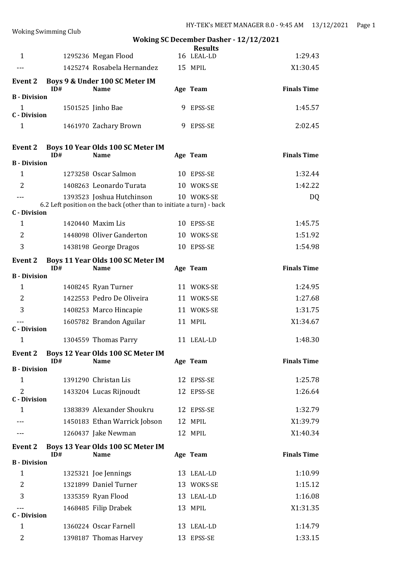| $\cdots$ $\cdots$                     |     |                                                                      | <b>Woking SC December Dasher - 12/12/2021</b> |                    |
|---------------------------------------|-----|----------------------------------------------------------------------|-----------------------------------------------|--------------------|
| $\mathbf{1}$                          |     | 1295236 Megan Flood                                                  | <b>Results</b><br>16 LEAL-LD                  | 1:29.43            |
| ---                                   |     | 1425274 Rosabela Hernandez                                           | 15 MPIL                                       | X1:30.45           |
|                                       |     |                                                                      |                                               |                    |
| <b>Event 2</b>                        | ID# | Boys 9 & Under 100 SC Meter IM<br><b>Name</b>                        | Age Team                                      | <b>Finals Time</b> |
| <b>B</b> - Division                   |     |                                                                      |                                               |                    |
| $\mathbf{1}$<br><b>C</b> - Division   |     | 1501525 Jinho Bae                                                    | 9 EPSS-SE                                     | 1:45.57            |
| $\mathbf{1}$                          |     | 1461970 Zachary Brown                                                | 9 EPSS-SE                                     | 2:02.45            |
| <b>Event 2</b><br><b>B</b> - Division | ID# | Boys 10 Year Olds 100 SC Meter IM<br><b>Name</b>                     | Age Team                                      | <b>Finals Time</b> |
| $\mathbf{1}$                          |     | 1273258 Oscar Salmon                                                 | 10 EPSS-SE                                    | 1:32.44            |
| $\overline{2}$                        |     | 1408263 Leonardo Turata                                              | 10 WOKS-SE                                    | 1:42.22            |
| ---                                   |     | 1393523 Joshua Hutchinson                                            | 10 WOKS-SE                                    | DQ                 |
|                                       |     | 6.2 Left position on the back (other than to initiate a turn) - back |                                               |                    |
| <b>C</b> - Division                   |     |                                                                      |                                               |                    |
| 1                                     |     | 1420440 Maxim Lis                                                    | 10 EPSS-SE                                    | 1:45.75            |
| 2<br>3                                |     | 1448098 Oliver Ganderton                                             | 10 WOKS-SE                                    | 1:51.92            |
|                                       |     | 1438198 George Dragos                                                | 10 EPSS-SE                                    | 1:54.98            |
| <b>Event 2</b>                        | ID# | Boys 11 Year Olds 100 SC Meter IM<br><b>Name</b>                     | Age Team                                      | <b>Finals Time</b> |
| <b>B</b> - Division                   |     |                                                                      |                                               |                    |
| $\mathbf{1}$                          |     | 1408245 Ryan Turner                                                  | 11 WOKS-SE                                    | 1:24.95            |
| 2                                     |     | 1422553 Pedro De Oliveira                                            | 11 WOKS-SE                                    | 1:27.68            |
| 3                                     |     | 1408253 Marco Hincapie                                               | 11 WOKS-SE                                    | 1:31.75            |
| <b>C</b> - Division                   |     | 1605782 Brandon Aguilar                                              | 11 MPIL                                       | X1:34.67           |
| $\mathbf{1}$                          |     | 1304559 Thomas Parry                                                 | 11 LEAL-LD                                    | 1:48.30            |
| <b>Event 2</b>                        | ID# | Boys 12 Year Olds 100 SC Meter IM<br><b>Name</b>                     | Age Team                                      | <b>Finals Time</b> |
| <b>B</b> - Division                   |     |                                                                      |                                               |                    |
| $\mathbf{1}$                          |     | 1391290 Christan Lis                                                 | 12 EPSS-SE                                    | 1:25.78            |
| $\overline{2}$<br><b>C</b> - Division |     | 1433204 Lucas Rijnoudt                                               | 12 EPSS-SE                                    | 1:26.64            |
| $\mathbf{1}$                          |     | 1383839 Alexander Shoukru                                            | 12 EPSS-SE                                    | 1:32.79            |
|                                       |     | 1450183 Ethan Warrick Jobson                                         | 12 MPIL                                       | X1:39.79           |
|                                       |     | 1260437 Jake Newman                                                  | 12 MPIL                                       | X1:40.34           |
| <b>Event 2</b>                        | ID# | Boys 13 Year Olds 100 SC Meter IM<br><b>Name</b>                     | Age Team                                      | <b>Finals Time</b> |
| <b>B</b> - Division                   |     |                                                                      |                                               |                    |
| $\mathbf{1}$                          |     | 1325321 Joe Jennings                                                 | 13 LEAL-LD                                    | 1:10.99            |
| $\overline{2}$                        |     | 1321899 Daniel Turner                                                | 13 WOKS-SE                                    | 1:15.12            |
| 3                                     |     | 1335359 Ryan Flood                                                   | 13 LEAL-LD                                    | 1:16.08            |
| $---$                                 |     | 1468485 Filip Drabek                                                 | 13 MPIL                                       | X1:31.35           |
| <b>C</b> - Division                   |     |                                                                      |                                               |                    |
| $\mathbf{1}$                          |     | 1360224 Oscar Farnell                                                | 13 LEAL-LD                                    | 1:14.79            |
| 2                                     |     | 1398187 Thomas Harvey                                                | 13 EPSS-SE                                    | 1:33.15            |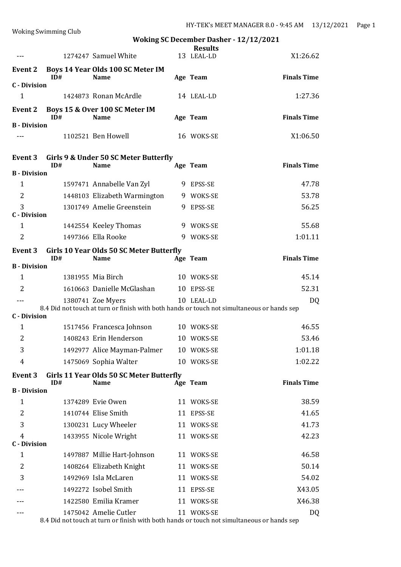|                                | <b>Woking Swimming Club</b> |                                                                                                                 |   |                | $111 - 1$ EK S MEET MANAGER 0.0 - 9.45 AM<br>10 I |
|--------------------------------|-----------------------------|-----------------------------------------------------------------------------------------------------------------|---|----------------|---------------------------------------------------|
|                                |                             |                                                                                                                 |   | <b>Results</b> | <b>Woking SC December Dasher - 12/12/2021</b>     |
|                                |                             | 1274247 Samuel White                                                                                            |   | 13 LEAL-LD     | X1:26.62                                          |
| Event 2                        | ID#                         | Boys 14 Year Olds 100 SC Meter IM<br><b>Name</b>                                                                |   | Age Team       | <b>Finals Time</b>                                |
| <b>C</b> - Division            |                             |                                                                                                                 |   |                |                                                   |
| 1                              |                             | 1424873 Ronan McArdle                                                                                           |   | 14 LEAL-LD     | 1:27.36                                           |
| Event 2                        | ID#                         | Boys 15 & Over 100 SC Meter IM<br><b>Name</b>                                                                   |   | Age Team       | <b>Finals Time</b>                                |
| <b>B</b> - Division            |                             |                                                                                                                 |   |                |                                                   |
|                                |                             | 1102521 Ben Howell                                                                                              |   | 16 WOKS-SE     | X1:06.50                                          |
| Event 3                        | ID#                         | Girls 9 & Under 50 SC Meter Butterfly<br><b>Name</b>                                                            |   | Age Team       | <b>Finals Time</b>                                |
| <b>B</b> - Division<br>1       |                             | 1597471 Annabelle Van Zyl                                                                                       |   | 9 EPSS-SE      | 47.78                                             |
| 2                              |                             | 1448103 Elizabeth Warmington                                                                                    |   | 9 WOKS-SE      | 53.78                                             |
| 3                              |                             | 1301749 Amelie Greenstein                                                                                       |   | 9 EPSS-SE      | 56.25                                             |
| <b>C</b> - Division            |                             |                                                                                                                 |   |                |                                                   |
| 1                              |                             | 1442554 Keeley Thomas                                                                                           |   | 9 WOKS-SE      | 55.68                                             |
| 2                              |                             | 1497366 Ella Rooke                                                                                              | 9 | WOKS-SE        | 1:01.11                                           |
| Event 3                        | ID#                         | Girls 10 Year Olds 50 SC Meter Butterfly<br><b>Name</b>                                                         |   | Age Team       | <b>Finals Time</b>                                |
| <b>B</b> - Division            |                             |                                                                                                                 |   |                |                                                   |
| $\mathbf{1}$                   |                             | 1381955 Mia Birch                                                                                               |   | 10 WOKS-SE     | 45.14                                             |
| $\overline{2}$                 |                             | 1610663 Danielle McGlashan                                                                                      |   | 10 EPSS-SE     | 52.31                                             |
| $- - -$<br><b>C</b> - Division |                             | 1380741 Zoe Myers<br>8.4 Did not touch at turn or finish with both hands or touch not simultaneous or hands sep |   | 10 LEAL-LD     | DQ                                                |
| 1                              |                             | 1517456 Francesca Johnson 10 WOKS-SE                                                                            |   |                | 46.55                                             |
| 2                              |                             | 1408243 Erin Henderson                                                                                          |   | 10 WOKS-SE     | 53.46                                             |
| 3                              |                             | 1492977 Alice Mayman-Palmer                                                                                     |   | 10 WOKS-SE     | 1:01.18                                           |
| 4                              |                             | 1475069 Sophia Walter                                                                                           |   | 10 WOKS-SE     | 1:02.22                                           |
| <b>Event 3</b>                 |                             | Girls 11 Year Olds 50 SC Meter Butterfly                                                                        |   |                |                                                   |
| <b>B</b> - Division            | ID#                         | <b>Name</b>                                                                                                     |   | Age Team       | <b>Finals Time</b>                                |
| $\mathbf{1}$                   |                             | 1374289 Evie Owen                                                                                               |   | 11 WOKS-SE     | 38.59                                             |
| 2                              |                             | 1410744 Elise Smith                                                                                             |   | 11 EPSS-SE     | 41.65                                             |
| 3                              |                             | 1300231 Lucy Wheeler                                                                                            |   | 11 WOKS-SE     | 41.73                                             |
| 4<br><b>C</b> - Division       |                             | 1433955 Nicole Wright                                                                                           |   | 11 WOKS-SE     | 42.23                                             |
| 1                              |                             | 1497887 Millie Hart-Johnson                                                                                     |   | 11 WOKS-SE     | 46.58                                             |
| 2                              |                             | 1408264 Elizabeth Knight                                                                                        |   | 11 WOKS-SE     | 50.14                                             |
| 3                              |                             | 1492969 Isla McLaren                                                                                            |   | 11 WOKS-SE     | 54.02                                             |
|                                |                             | 1492272 Isobel Smith                                                                                            |   | 11 EPSS-SE     | X43.05                                            |
|                                |                             | 1422580 Emilia Kramer                                                                                           |   | 11 WOKS-SE     | X46.38                                            |
|                                |                             | 1475042 Amelie Cutler                                                                                           |   | 11 WOKS-SE     | DQ                                                |

8.4 Did not touch at turn or finish with both hands or touch not simultaneous or hands sep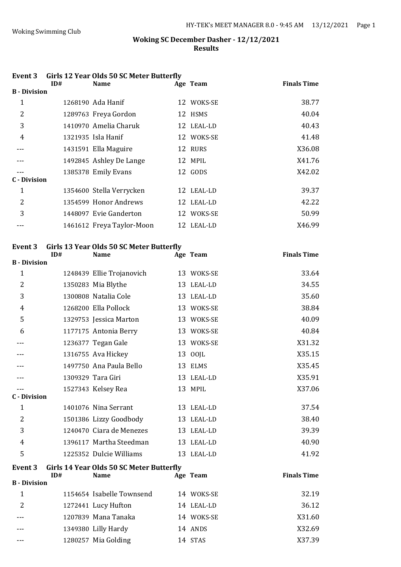| Event 3             |     | <b>Girls 12 Year Olds 50 SC Meter Butterfly</b> |            |                    |
|---------------------|-----|-------------------------------------------------|------------|--------------------|
|                     | ID# | <b>Name</b>                                     | Age Team   | <b>Finals Time</b> |
| <b>B</b> - Division |     |                                                 |            |                    |
| 1                   |     | 1268190 Ada Hanif                               | 12 WOKS-SE | 38.77              |
| 2                   |     | 1289763 Freya Gordon                            | 12 HSMS    | 40.04              |
| 3                   |     | 1410970 Amelia Charuk                           | 12 LEAL-LD | 40.43              |
| 4                   |     | 1321935 Isla Hanif                              | 12 WOKS-SE | 41.48              |
|                     |     | 1431591 Ella Maguire                            | 12 RURS    | X36.08             |
|                     |     | 1492845 Ashley De Lange                         | 12 MPIL    | X41.76             |
|                     |     | 1385378 Emily Evans                             | 12 GODS    | X42.02             |
| C - Division        |     |                                                 |            |                    |
| $\mathbf 1$         |     | 1354600 Stella Verrycken                        | 12 LEAL-LD | 39.37              |
| 2                   |     | 1354599 Honor Andrews                           | 12 LEAL-LD | 42.22              |
| 3                   |     | 1448097 Evie Ganderton                          | 12 WOKS-SE | 50.99              |
|                     |     | 1461612 Freya Taylor-Moon                       | 12 LEAL-LD | X46.99             |
|                     |     |                                                 |            |                    |

# **Event 3 Girls 13 Year Olds 50 SC Meter Butterfly**

|                     | ID# | <b>Name</b>                              | Age Team   | <b>Finals Time</b> |
|---------------------|-----|------------------------------------------|------------|--------------------|
| <b>B</b> - Division |     |                                          |            |                    |
| $\mathbf{1}$        |     | 1248439 Ellie Trojanovich                | 13 WOKS-SE | 33.64              |
| 2                   |     | 1350283 Mia Blythe                       | 13 LEAL-LD | 34.55              |
| 3                   |     | 1300808 Natalia Cole                     | 13 LEAL-LD | 35.60              |
| 4                   |     | 1268200 Ella Pollock                     | 13 WOKS-SE | 38.84              |
| 5                   |     | 1329753 Jessica Marton                   | 13 WOKS-SE | 40.09              |
| 6                   |     | 1177175 Antonia Berry                    | 13 WOKS-SE | 40.84              |
|                     |     | 1236377 Tegan Gale                       | 13 WOKS-SE | X31.32             |
|                     |     | 1316755 Ava Hickey                       | 13 OOJL    | X35.15             |
|                     |     | 1497750 Ana Paula Bello                  | 13 ELMS    | X35.45             |
|                     |     | 1309329 Tara Giri                        | 13 LEAL-LD | X35.91             |
|                     |     | 1527343 Kelsey Rea                       | 13 MPIL    | X37.06             |
| <b>C</b> - Division |     |                                          |            |                    |
| $\mathbf{1}$        |     | 1401076 Nina Serrant                     | 13 LEAL-LD | 37.54              |
| 2                   |     | 1501386 Lizzy Goodbody                   | 13 LEAL-LD | 38.40              |
| 3                   |     | 1240470 Ciara de Menezes                 | 13 LEAL-LD | 39.39              |
| 4                   |     | 1396117 Martha Steedman                  | 13 LEAL-LD | 40.90              |
| 5                   |     | 1225352 Dulcie Williams                  | 13 LEAL-LD | 41.92              |
| <b>Event 3</b>      | ID# | Girls 14 Year Olds 50 SC Meter Butterfly |            | <b>Finals Time</b> |
| <b>B</b> - Division |     | <b>Name</b>                              | Age Team   |                    |
|                     |     |                                          |            |                    |
| $\mathbf{1}$        |     | 1154654 Isabelle Townsend                | 14 WOKS-SE | 32.19              |
| 2                   |     | 1272441 Lucy Hufton                      | 14 LEAL-LD | 36.12              |
|                     |     | 1207839 Mana Tanaka                      | 14 WOKS-SE | X31.60             |
|                     |     | 1349380 Lilly Hardy                      | 14 ANDS    | X32.69             |

--- 1280257 Mia Golding 14 STAS X37.39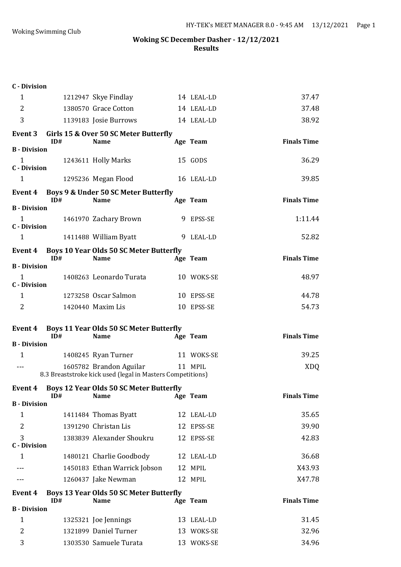| <b>C</b> - Division                 |     |                                                               |                          |                    |
|-------------------------------------|-----|---------------------------------------------------------------|--------------------------|--------------------|
| $\mathbf{1}$                        |     | 1212947 Skye Findlay                                          | 14 LEAL-LD               | 37.47              |
| 2                                   |     | 1380570 Grace Cotton                                          | 14 LEAL-LD               | 37.48              |
| 3                                   |     | 1139183 Josie Burrows                                         | 14 LEAL-LD               | 38.92              |
| Event 3                             |     | Girls 15 & Over 50 SC Meter Butterfly                         |                          |                    |
| <b>B</b> - Division                 | ID# | <b>Name</b>                                                   | Age Team                 | <b>Finals Time</b> |
| $\mathbf{1}$<br><b>C</b> - Division |     | 1243611 Holly Marks                                           | 15 GODS                  | 36.29              |
| $\mathbf{1}$                        |     | 1295236 Megan Flood                                           | 16 LEAL-LD               | 39.85              |
| Event 4                             | ID# | Boys 9 & Under 50 SC Meter Butterfly<br><b>Name</b>           | Age Team                 | <b>Finals Time</b> |
| <b>B</b> - Division                 |     |                                                               |                          |                    |
| $\mathbf{1}$<br><b>C</b> - Division |     | 1461970 Zachary Brown                                         | 9 EPSS-SE                | 1:11.44            |
| $\mathbf{1}$                        |     | 1411488 William Byatt                                         | 9 LEAL-LD                | 52.82              |
| Event 4<br><b>B</b> - Division      | ID# | <b>Boys 10 Year Olds 50 SC Meter Butterfly</b><br><b>Name</b> | Age Team                 | <b>Finals Time</b> |
| $\mathbf{1}$                        |     | 1408263 Leonardo Turata                                       | 10 WOKS-SE               | 48.97              |
| <b>C</b> - Division                 |     |                                                               |                          |                    |
| 1                                   |     | 1273258 Oscar Salmon                                          | 10 EPSS-SE               | 44.78              |
| 2                                   |     | 1420440 Maxim Lis                                             | 10 EPSS-SE               | 54.73              |
|                                     |     |                                                               |                          |                    |
| Event 4                             |     | <b>Boys 11 Year Olds 50 SC Meter Butterfly</b>                |                          |                    |
| <b>B</b> - Division                 | ID# | <b>Name</b>                                                   | Age Team                 | <b>Finals Time</b> |
| $\mathbf{1}$                        |     |                                                               | 11 WOKS-SE               | 39.25              |
| $- - -$                             |     | 1408245 Ryan Turner<br>1605782 Brandon Aguilar                | 11 MPIL                  | <b>XDQ</b>         |
|                                     |     | 8.3 Breaststroke kick used (legal in Masters Competitions)    |                          |                    |
| <b>Event 4</b>                      | ID# | <b>Boys 12 Year Olds 50 SC Meter Butterfly</b><br><b>Name</b> | Age Team                 | <b>Finals Time</b> |
| <b>B</b> - Division                 |     |                                                               |                          |                    |
| 1                                   |     | 1411484 Thomas Byatt                                          | 12 LEAL-LD               | 35.65              |
| $\overline{2}$                      |     | 1391290 Christan Lis                                          | 12 EPSS-SE               | 39.90              |
| 3<br><b>C</b> - Division            |     | 1383839 Alexander Shoukru                                     | 12 EPSS-SE               | 42.83              |
| 1                                   |     | 1480121 Charlie Goodbody                                      | 12 LEAL-LD               | 36.68              |
|                                     |     | 1450183 Ethan Warrick Jobson                                  | 12 MPIL                  | X43.93             |
|                                     |     | 1260437 Jake Newman                                           | 12 MPIL                  | X47.78             |
| Event 4                             | ID# | Boys 13 Year Olds 50 SC Meter Butterfly<br><b>Name</b>        | Age Team                 | <b>Finals Time</b> |
| <b>B</b> - Division                 |     |                                                               |                          |                    |
| $\mathbf{1}$                        |     | 1325321 Joe Jennings                                          | 13 LEAL-LD               | 31.45              |
| $\overline{2}$<br>3                 |     | 1321899 Daniel Turner<br>1303530 Samuele Turata               | 13 WOKS-SE<br>13 WOKS-SE | 32.96<br>34.96     |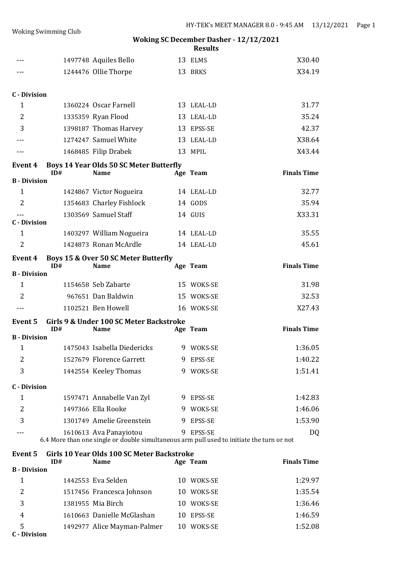|                     |     |                                                                                                                     | <b>Results</b> | WORING SC December Dasner - 12/12/2021 |
|---------------------|-----|---------------------------------------------------------------------------------------------------------------------|----------------|----------------------------------------|
|                     |     | 1497748 Aquiles Bello                                                                                               | 13 ELMS        | X30.40                                 |
| ---                 |     | 1244476 Ollie Thorpe                                                                                                | 13 BRKS        | X34.19                                 |
| <b>C</b> - Division |     |                                                                                                                     |                |                                        |
| $\mathbf{1}$        |     | 1360224 Oscar Farnell                                                                                               | 13 LEAL-LD     | 31.77                                  |
| $\overline{2}$      |     | 1335359 Ryan Flood                                                                                                  | 13 LEAL-LD     | 35.24                                  |
| 3                   |     | 1398187 Thomas Harvey                                                                                               | 13 EPSS-SE     | 42.37                                  |
|                     |     | 1274247 Samuel White                                                                                                | 13 LEAL-LD     | X38.64                                 |
|                     |     | 1468485 Filip Drabek                                                                                                | 13 MPIL        | X43.44                                 |
| <b>Event 4</b>      | ID# | <b>Boys 14 Year Olds 50 SC Meter Butterfly</b><br><b>Name</b>                                                       | Age Team       | <b>Finals Time</b>                     |
| <b>B</b> - Division |     |                                                                                                                     |                |                                        |
| 1                   |     | 1424867 Victor Nogueira                                                                                             | 14 LEAL-LD     | 32.77                                  |
| 2                   |     | 1354683 Charley Fishlock                                                                                            | 14 GODS        | 35.94                                  |
| <b>C</b> - Division |     | 1303569 Samuel Staff                                                                                                | 14 GUIS        | X33.31                                 |
| 1                   |     | 1403297 William Nogueira                                                                                            | 14 LEAL-LD     | 35.55                                  |
| $\overline{2}$      |     | 1424873 Ronan McArdle                                                                                               | 14 LEAL-LD     | 45.61                                  |
| <b>Event 4</b>      | ID# | Boys 15 & Over 50 SC Meter Butterfly<br><b>Name</b>                                                                 | Age Team       | <b>Finals Time</b>                     |
| <b>B</b> - Division |     |                                                                                                                     |                |                                        |
| $\mathbf{1}$        |     | 1154658 Seb Zabarte                                                                                                 | 15 WOKS-SE     | 31.98                                  |
| 2                   |     | 967651 Dan Baldwin                                                                                                  | 15 WOKS-SE     | 32.53                                  |
| $- - -$             |     | 1102521 Ben Howell                                                                                                  | 16 WOKS-SE     | X27.43                                 |
| Event 5             | ID# | Girls 9 & Under 100 SC Meter Backstroke<br><b>Name</b>                                                              | Age Team       | <b>Finals Time</b>                     |
| <b>B</b> - Division |     |                                                                                                                     |                |                                        |
| 1                   |     | 1475043 Isabella Diedericks                                                                                         | 9 WOKS-SE      | 1:36.05                                |
| 2                   |     | 1527679 Florence Garrett                                                                                            | 9 EPSS-SE      | 1:40.22                                |
| 3                   |     | 1442554 Keeley Thomas                                                                                               | 9 WOKS-SE      | 1:51.41                                |
| <b>C</b> - Division |     |                                                                                                                     |                |                                        |
| 1                   |     | 1597471 Annabelle Van Zyl                                                                                           | 9 EPSS-SE      | 1:42.83                                |
| 2                   |     | 1497366 Ella Rooke                                                                                                  | 9 WOKS-SE      | 1:46.06                                |
| 3                   |     | 1301749 Amelie Greenstein                                                                                           | 9 EPSS-SE      | 1:53.90                                |
|                     |     | 1610613 Ava Panayiotou<br>6.4 More than one single or double simultaneous arm pull used to initiate the turn or not | 9 EPSS-SE      | DQ                                     |
| <b>Event 5</b>      | ID# | Girls 10 Year Olds 100 SC Meter Backstroke<br><b>Name</b>                                                           | Age Team       | <b>Finals Time</b>                     |
| <b>B</b> - Division |     |                                                                                                                     |                |                                        |
| $\mathbf{1}$        |     | 1442553 Eva Selden                                                                                                  | 10 WOKS-SE     | 1:29.97                                |

|                            | 1517456 Francesca Johnson   | 10 WOKS-SE | 1:35.54 |
|----------------------------|-----------------------------|------------|---------|
| 3                          | 1381955 Mia Birch           | 10 WOKS-SE | 1:36.46 |
|                            | 1610663 Danielle McGlashan  | 10 EPSS-SE | 1:46.59 |
| - 5<br><b>C</b> - Division | 1492977 Alice Mayman-Palmer | 10 WOKS-SE | 1:52.08 |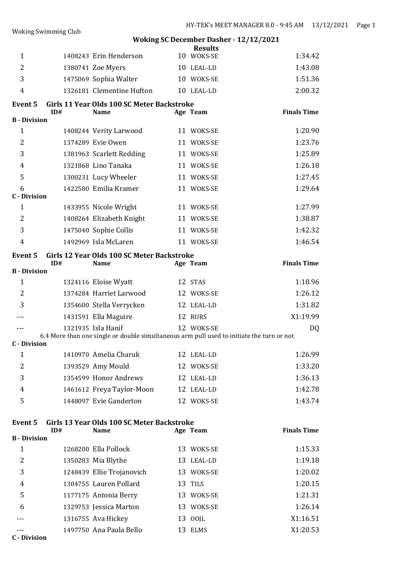**Woking SC December Dasher - 12/12/2021**

|                          |     |                                                                                           | <b>Results</b> |                    |
|--------------------------|-----|-------------------------------------------------------------------------------------------|----------------|--------------------|
| $\mathbf{1}$             |     | 1408243 Erin Henderson                                                                    | 10 WOKS-SE     | 1:34.42            |
| $\overline{2}$           |     | 1380741 Zoe Myers                                                                         | 10 LEAL-LD     | 1:43.08            |
| 3                        |     | 1475069 Sophia Walter                                                                     | 10 WOKS-SE     | 1:51.36            |
| $\overline{4}$           |     | 1326181 Clementine Hufton                                                                 | 10 LEAL-LD     | 2:00.32            |
| <b>Event 5</b>           | ID# | Girls 11 Year Olds 100 SC Meter Backstroke<br><b>Name</b>                                 | Age Team       | <b>Finals Time</b> |
| <b>B</b> - Division      |     |                                                                                           |                |                    |
| $\mathbf{1}$             |     | 1408244 Verity Larwood                                                                    | 11 WOKS-SE     | 1:20.90            |
| $\overline{2}$           |     | 1374289 Evie Owen                                                                         | 11 WOKS-SE     | 1:23.76            |
| 3                        |     | 1381963 Scarlett Redding                                                                  | 11 WOKS-SE     | 1:25.89            |
| $\overline{4}$           |     | 1321868 Lino Tanaka                                                                       | 11 WOKS-SE     | 1:26.18            |
| 5                        |     | 1300231 Lucy Wheeler                                                                      | 11 WOKS-SE     | 1:27.45            |
| 6<br><b>C</b> - Division |     | 1422580 Emilia Kramer                                                                     | 11 WOKS-SE     | 1:29.64            |
| $\mathbf{1}$             |     | 1433955 Nicole Wright                                                                     | 11 WOKS-SE     | 1:27.99            |
| $\overline{2}$           |     | 1408264 Elizabeth Knight                                                                  | 11 WOKS-SE     | 1:38.87            |
| 3                        |     | 1475040 Sophie Collis                                                                     | 11 WOKS-SE     | 1:42.32            |
| $\overline{4}$           |     | 1492969 Isla McLaren                                                                      | 11 WOKS-SE     | 1:46.54            |
| <b>Event 5</b>           | ID# | Girls 12 Year Olds 100 SC Meter Backstroke<br><b>Name</b>                                 | Age Team       | <b>Finals Time</b> |
| <b>B</b> - Division      |     |                                                                                           |                |                    |
| $\mathbf{1}$             |     | 1324116 Eloise Wyatt                                                                      | 12 STAS        | 1:18.96            |
| 2                        |     | 1374284 Harriet Larwood                                                                   | 12 WOKS-SE     | 1:26.12            |
| 3                        |     | 1354600 Stella Verrycken                                                                  | 12 LEAL-LD     | 1:31.82            |
|                          |     | 1431591 Ella Maguire                                                                      | 12 RURS        | X1:19.99           |
|                          |     | 1321935 Isla Hanif                                                                        | 12 WOKS-SE     | DQ                 |
| <b>C</b> - Division      |     | 6.4 More than one single or double simultaneous arm pull used to initiate the turn or not |                |                    |
|                          |     |                                                                                           |                |                    |
| $\mathbf{1}$             |     | 1410970 Amelia Charuk                                                                     | 12 LEAL-LD     | 1:26.99            |
| 2                        |     | 1393529 Amy Mould                                                                         | 12 WOKS-SE     | 1:33.20            |
| 3                        |     | 1354599 Honor Andrews                                                                     | 12 LEAL-LD     | 1:36.13            |
| 4                        |     | 1461612 Freya Taylor-Moon                                                                 | 12 LEAL-LD     | 1:42.78            |

Woking Swimming Club

| елени э             |     | GILLS 15 Teal ORDS 100 SC MELEL DACKSLIOKE |            |                    |
|---------------------|-----|--------------------------------------------|------------|--------------------|
|                     | ID# | <b>Name</b>                                | Age Team   | <b>Finals Time</b> |
| <b>B</b> - Division |     |                                            |            |                    |
| 1                   |     | 1268200 Ella Pollock                       | 13 WOKS-SE | 1:15.33            |
| 2                   |     | 1350283 Mia Blythe                         | 13 LEAL-LD | 1:19.18            |
| 3                   |     | 1248439 Ellie Trojanovich                  | 13 WOKS-SE | 1:20.02            |
| 4                   |     | 1304755 Lauren Pollard                     | 13 TILS    | 1:20.15            |
| 5                   |     | 1177175 Antonia Berry                      | 13 WOKS-SE | 1:21.31            |
| 6                   |     | 1329753 Jessica Marton                     | 13 WOKS-SE | 1:26.14            |
|                     |     | 1316755 Ava Hickey                         | 13 00JL    | X1:16.51           |
|                     |     | 1497750 Ana Paula Bello                    | 13 ELMS    | X1:20.53           |
|                     |     |                                            |            |                    |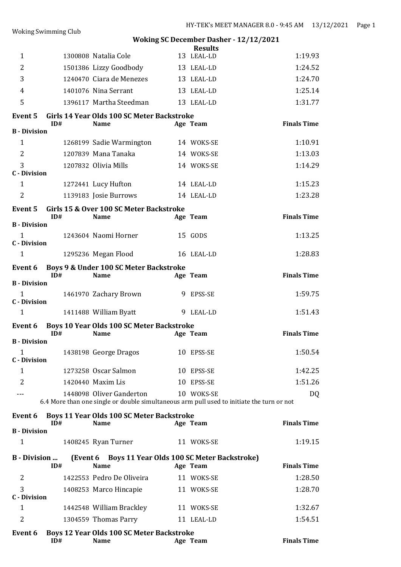|                                     | <b>Woking Swimming Club</b> |                                                                                                                       |                              | TER 3 MEET MITRIMENT 0.0 7.19 MM              |
|-------------------------------------|-----------------------------|-----------------------------------------------------------------------------------------------------------------------|------------------------------|-----------------------------------------------|
|                                     |                             |                                                                                                                       |                              | <b>Woking SC December Dasher - 12/12/2021</b> |
| $\mathbf{1}$                        |                             | 1300808 Natalia Cole                                                                                                  | <b>Results</b><br>13 LEAL-LD | 1:19.93                                       |
| $\overline{2}$                      |                             | 1501386 Lizzy Goodbody                                                                                                | 13 LEAL-LD                   | 1:24.52                                       |
| 3                                   |                             | 1240470 Ciara de Menezes                                                                                              | 13 LEAL-LD                   | 1:24.70                                       |
| 4                                   |                             | 1401076 Nina Serrant                                                                                                  | 13 LEAL-LD                   | 1:25.14                                       |
| 5                                   |                             | 1396117 Martha Steedman                                                                                               | 13 LEAL-LD                   | 1:31.77                                       |
| <b>Event 5</b>                      | ID#                         | Girls 14 Year Olds 100 SC Meter Backstroke<br><b>Name</b>                                                             | Age Team                     | <b>Finals Time</b>                            |
| <b>B</b> - Division                 |                             |                                                                                                                       |                              |                                               |
| $\mathbf{1}$                        |                             | 1268199 Sadie Warmington                                                                                              | 14 WOKS-SE                   | 1:10.91                                       |
| $\overline{2}$                      |                             | 1207839 Mana Tanaka                                                                                                   | 14 WOKS-SE                   | 1:13.03                                       |
| 3<br><b>C</b> - Division            |                             | 1207832 Olivia Mills                                                                                                  | 14 WOKS-SE                   | 1:14.29                                       |
| $\mathbf{1}$                        |                             | 1272441 Lucy Hufton                                                                                                   | 14 LEAL-LD                   | 1:15.23                                       |
| $\overline{2}$                      |                             | 1139183 Josie Burrows                                                                                                 | 14 LEAL-LD                   | 1:23.28                                       |
| <b>Event 5</b>                      | ID#                         | Girls 15 & Over 100 SC Meter Backstroke<br><b>Name</b>                                                                | Age Team                     | <b>Finals Time</b>                            |
| <b>B</b> - Division                 |                             |                                                                                                                       |                              |                                               |
| $\mathbf{1}$<br><b>C</b> - Division |                             | 1243604 Naomi Horner                                                                                                  | 15 GODS                      | 1:13.25                                       |
| $\mathbf{1}$                        |                             | 1295236 Megan Flood                                                                                                   | 16 LEAL-LD                   | 1:28.83                                       |
| Event 6                             | ID#                         | Boys 9 & Under 100 SC Meter Backstroke<br><b>Name</b>                                                                 | Age Team                     | <b>Finals Time</b>                            |
| <b>B</b> - Division                 |                             |                                                                                                                       |                              |                                               |
| $\mathbf{1}$<br><b>C</b> - Division |                             | 1461970 Zachary Brown                                                                                                 | 9 EPSS-SE                    | 1:59.75                                       |
| $\mathbf{1}$                        |                             | 1411488 William Byatt                                                                                                 | 9 LEAL-LD                    | 1:51.43                                       |
| Event 6                             | ID#                         | Boys 10 Year Olds 100 SC Meter Backstroke<br><b>Name</b>                                                              | Age Team                     | <b>Finals Time</b>                            |
| <b>B</b> - Division<br>$\mathbf{1}$ |                             | 1438198 George Dragos                                                                                                 | 10 EPSS-SE                   | 1:50.54                                       |
| <b>C</b> - Division                 |                             |                                                                                                                       |                              |                                               |
| $\mathbf{1}$                        |                             | 1273258 Oscar Salmon                                                                                                  | 10 EPSS-SE                   | 1:42.25                                       |
| $\overline{2}$                      |                             | 1420440 Maxim Lis                                                                                                     | 10 EPSS-SE                   | 1:51.26                                       |
| ---                                 |                             | 1448098 Oliver Ganderton<br>6.4 More than one single or double simultaneous arm pull used to initiate the turn or not | 10 WOKS-SE                   | DQ                                            |
| Event 6                             | ID#                         | <b>Boys 11 Year Olds 100 SC Meter Backstroke</b><br><b>Name</b>                                                       | Age Team                     | <b>Finals Time</b>                            |
| <b>B</b> - Division                 |                             |                                                                                                                       |                              |                                               |
| $\mathbf{1}$                        |                             | 1408245 Ryan Turner                                                                                                   | 11 WOKS-SE                   | 1:19.15                                       |
| <b>B</b> - Division                 | ID#                         | (Event 6 Boys 11 Year Olds 100 SC Meter Backstroke)<br><b>Name</b>                                                    | Age Team                     | <b>Finals Time</b>                            |
| $\overline{2}$                      |                             | 1422553 Pedro De Oliveira                                                                                             | 11 WOKS-SE                   | 1:28.50                                       |
| 3<br><b>C</b> - Division            |                             | 1408253 Marco Hincapie                                                                                                | 11 WOKS-SE                   | 1:28.70                                       |
| 1                                   |                             | 1442548 William Brackley                                                                                              | 11 WOKS-SE                   | 1:32.67                                       |
| 2                                   |                             | 1304559 Thomas Parry                                                                                                  | 11 LEAL-LD                   | 1:54.51                                       |

**Event 6 Boys 12 Year Olds 100 SC Meter Backstroke ID# Name Age Team Finals Time**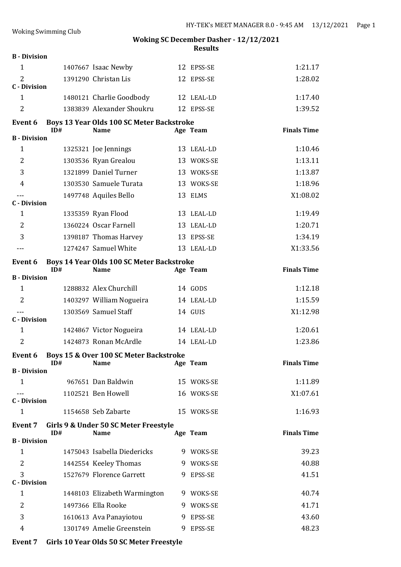| <b>B</b> - Division        |                                                          |                                                                                                                                                                                                                                                                                                                                                                   |                          |                                                                                                                                                                                                                                                                                                              |
|----------------------------|----------------------------------------------------------|-------------------------------------------------------------------------------------------------------------------------------------------------------------------------------------------------------------------------------------------------------------------------------------------------------------------------------------------------------------------|--------------------------|--------------------------------------------------------------------------------------------------------------------------------------------------------------------------------------------------------------------------------------------------------------------------------------------------------------|
|                            | 1407667 Isaac Newby                                      |                                                                                                                                                                                                                                                                                                                                                                   | 12 EPSS-SE               | 1:21.17                                                                                                                                                                                                                                                                                                      |
|                            |                                                          |                                                                                                                                                                                                                                                                                                                                                                   |                          | 1:28.02                                                                                                                                                                                                                                                                                                      |
|                            |                                                          |                                                                                                                                                                                                                                                                                                                                                                   |                          | 1:17.40                                                                                                                                                                                                                                                                                                      |
|                            |                                                          |                                                                                                                                                                                                                                                                                                                                                                   |                          |                                                                                                                                                                                                                                                                                                              |
|                            |                                                          |                                                                                                                                                                                                                                                                                                                                                                   |                          | 1:39.52                                                                                                                                                                                                                                                                                                      |
|                            |                                                          |                                                                                                                                                                                                                                                                                                                                                                   |                          | <b>Finals Time</b>                                                                                                                                                                                                                                                                                           |
| <b>B</b> - Division        |                                                          |                                                                                                                                                                                                                                                                                                                                                                   |                          |                                                                                                                                                                                                                                                                                                              |
|                            |                                                          |                                                                                                                                                                                                                                                                                                                                                                   |                          | 1:10.46                                                                                                                                                                                                                                                                                                      |
|                            |                                                          |                                                                                                                                                                                                                                                                                                                                                                   |                          | 1:13.11                                                                                                                                                                                                                                                                                                      |
|                            |                                                          |                                                                                                                                                                                                                                                                                                                                                                   |                          | 1:13.87                                                                                                                                                                                                                                                                                                      |
|                            |                                                          |                                                                                                                                                                                                                                                                                                                                                                   |                          | 1:18.96                                                                                                                                                                                                                                                                                                      |
|                            |                                                          |                                                                                                                                                                                                                                                                                                                                                                   |                          | X1:08.02                                                                                                                                                                                                                                                                                                     |
|                            |                                                          |                                                                                                                                                                                                                                                                                                                                                                   |                          |                                                                                                                                                                                                                                                                                                              |
|                            |                                                          |                                                                                                                                                                                                                                                                                                                                                                   |                          | 1:19.49                                                                                                                                                                                                                                                                                                      |
|                            |                                                          |                                                                                                                                                                                                                                                                                                                                                                   |                          | 1:20.71                                                                                                                                                                                                                                                                                                      |
|                            |                                                          |                                                                                                                                                                                                                                                                                                                                                                   |                          | 1:34.19                                                                                                                                                                                                                                                                                                      |
|                            |                                                          |                                                                                                                                                                                                                                                                                                                                                                   |                          | X1:33.56                                                                                                                                                                                                                                                                                                     |
|                            |                                                          |                                                                                                                                                                                                                                                                                                                                                                   |                          | <b>Finals Time</b>                                                                                                                                                                                                                                                                                           |
| <b>B</b> - Division        |                                                          |                                                                                                                                                                                                                                                                                                                                                                   |                          |                                                                                                                                                                                                                                                                                                              |
|                            |                                                          |                                                                                                                                                                                                                                                                                                                                                                   |                          | 1:12.18                                                                                                                                                                                                                                                                                                      |
|                            |                                                          |                                                                                                                                                                                                                                                                                                                                                                   |                          | 1:15.59                                                                                                                                                                                                                                                                                                      |
|                            |                                                          |                                                                                                                                                                                                                                                                                                                                                                   |                          |                                                                                                                                                                                                                                                                                                              |
|                            | 1303569 Samuel Staff                                     |                                                                                                                                                                                                                                                                                                                                                                   | 14 GUIS                  | X1:12.98                                                                                                                                                                                                                                                                                                     |
| <b>C</b> - Division        |                                                          |                                                                                                                                                                                                                                                                                                                                                                   |                          |                                                                                                                                                                                                                                                                                                              |
|                            | 1424867 Victor Nogueira                                  |                                                                                                                                                                                                                                                                                                                                                                   | 14 LEAL-LD               | 1:20.61                                                                                                                                                                                                                                                                                                      |
|                            | 1424873 Ronan McArdle                                    |                                                                                                                                                                                                                                                                                                                                                                   | 14 LEAL-LD               | 1:23.86                                                                                                                                                                                                                                                                                                      |
|                            | Event 6 Boys 15 & Over 100 SC Meter Backstroke           |                                                                                                                                                                                                                                                                                                                                                                   |                          |                                                                                                                                                                                                                                                                                                              |
| ID#<br><b>B</b> - Division | <b>Name</b>                                              |                                                                                                                                                                                                                                                                                                                                                                   | Age Team                 | <b>Finals Time</b>                                                                                                                                                                                                                                                                                           |
|                            | 967651 Dan Baldwin                                       |                                                                                                                                                                                                                                                                                                                                                                   | 15 WOKS-SE               | 1:11.89                                                                                                                                                                                                                                                                                                      |
|                            | 1102521 Ben Howell                                       |                                                                                                                                                                                                                                                                                                                                                                   | 16 WOKS-SE               | X1:07.61                                                                                                                                                                                                                                                                                                     |
| <b>C</b> - Division        |                                                          |                                                                                                                                                                                                                                                                                                                                                                   |                          |                                                                                                                                                                                                                                                                                                              |
|                            | 1154658 Seb Zabarte                                      |                                                                                                                                                                                                                                                                                                                                                                   | 15 WOKS-SE               | 1:16.93                                                                                                                                                                                                                                                                                                      |
|                            | Girls 9 & Under 50 SC Meter Freestyle                    |                                                                                                                                                                                                                                                                                                                                                                   |                          |                                                                                                                                                                                                                                                                                                              |
| ID#<br><b>B</b> - Division | <b>Name</b>                                              |                                                                                                                                                                                                                                                                                                                                                                   | Age Team                 | <b>Finals Time</b>                                                                                                                                                                                                                                                                                           |
|                            | 1475043 Isabella Diedericks                              |                                                                                                                                                                                                                                                                                                                                                                   | 9 WOKS-SE                | 39.23                                                                                                                                                                                                                                                                                                        |
|                            | 1442554 Keeley Thomas                                    |                                                                                                                                                                                                                                                                                                                                                                   | 9 WOKS-SE                | 40.88                                                                                                                                                                                                                                                                                                        |
| <b>C</b> - Division        | 1527679 Florence Garrett                                 |                                                                                                                                                                                                                                                                                                                                                                   | 9 EPSS-SE                | 41.51                                                                                                                                                                                                                                                                                                        |
|                            | 1448103 Elizabeth Warmington                             |                                                                                                                                                                                                                                                                                                                                                                   | 9 WOKS-SE                | 40.74                                                                                                                                                                                                                                                                                                        |
|                            | 1497366 Ella Rooke                                       |                                                                                                                                                                                                                                                                                                                                                                   | 9 WOKS-SE                | 41.71                                                                                                                                                                                                                                                                                                        |
|                            | 1610613 Ava Panayiotou                                   |                                                                                                                                                                                                                                                                                                                                                                   | 9 EPSS-SE                | 43.60                                                                                                                                                                                                                                                                                                        |
|                            | <b>C</b> - Division<br>ID#<br><b>C</b> - Division<br>ID# | 1391290 Christan Lis<br>1480121 Charlie Goodbody<br>1383839 Alexander Shoukru<br><b>Name</b><br>1325321 Joe Jennings<br>1303536 Ryan Grealou<br>1321899 Daniel Turner<br>1303530 Samuele Turata<br>1497748 Aquiles Bello<br>1335359 Ryan Flood<br>1360224 Oscar Farnell<br>1398187 Thomas Harvey<br>1274247 Samuel White<br><b>Name</b><br>1288832 Alex Churchill | 1403297 William Nogueira | 12 EPSS-SE<br>12 LEAL-LD<br>12 EPSS-SE<br>Boys 13 Year Olds 100 SC Meter Backstroke<br>Age Team<br>13 LEAL-LD<br>13 WOKS-SE<br>13 WOKS-SE<br>13 WOKS-SE<br>13 ELMS<br>13 LEAL-LD<br>13 LEAL-LD<br>13 EPSS-SE<br>13 LEAL-LD<br>Boys 14 Year Olds 100 SC Meter Backstroke<br>Age Team<br>14 GODS<br>14 LEAL-LD |

**Event 7 Girls 10 Year Olds 50 SC Meter Freestyle**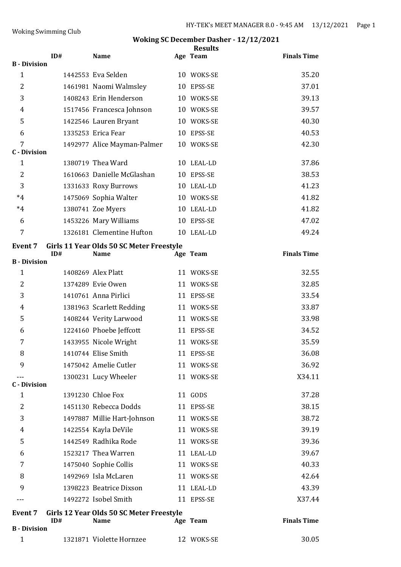| <b>B</b> - Division      | ID# | <b>Name</b>                                             |    | <b>Results</b><br>Age Team | <b>Finals Time</b> |
|--------------------------|-----|---------------------------------------------------------|----|----------------------------|--------------------|
| $\mathbf{1}$             |     | 1442553 Eva Selden                                      |    | 10 WOKS-SE                 | 35.20              |
| $\overline{2}$           |     | 1461981 Naomi Walmsley                                  |    | 10 EPSS-SE                 | 37.01              |
| 3                        |     | 1408243 Erin Henderson                                  |    | 10 WOKS-SE                 | 39.13              |
| 4                        |     | 1517456 Francesca Johnson                               |    | 10 WOKS-SE                 | 39.57              |
| 5                        |     | 1422546 Lauren Bryant                                   |    | 10 WOKS-SE                 | 40.30              |
| 6                        |     | 1335253 Erica Fear                                      |    | 10 EPSS-SE                 | 40.53              |
| 7                        |     | 1492977 Alice Mayman-Palmer                             |    | 10 WOKS-SE                 | 42.30              |
| <b>C</b> - Division<br>1 |     | 1380719 Thea Ward                                       |    | 10 LEAL-LD                 | 37.86              |
| 2                        |     | 1610663 Danielle McGlashan                              |    | 10 EPSS-SE                 | 38.53              |
| 3                        |     | 1331633 Roxy Burrows                                    |    | 10 LEAL-LD                 | 41.23              |
| $*4$                     |     | 1475069 Sophia Walter                                   |    | 10 WOKS-SE                 | 41.82              |
| $*4$                     |     | 1380741 Zoe Myers                                       |    | 10 LEAL-LD                 | 41.82              |
| 6                        |     | 1453226 Mary Williams                                   |    | 10 EPSS-SE                 | 47.02              |
| 7                        |     | 1326181 Clementine Hufton                               |    | 10 LEAL-LD                 | 49.24              |
|                          |     |                                                         |    |                            |                    |
| <b>Event 7</b>           | ID# | Girls 11 Year Olds 50 SC Meter Freestyle<br><b>Name</b> |    | Age Team                   | <b>Finals Time</b> |
| <b>B</b> - Division      |     |                                                         |    |                            |                    |
| $\mathbf{1}$             |     | 1408269 Alex Platt                                      |    | 11 WOKS-SE                 | 32.55              |
| $\overline{2}$           |     | 1374289 Evie Owen                                       |    | 11 WOKS-SE                 | 32.85              |
| 3                        |     | 1410761 Anna Pirlici                                    |    | 11 EPSS-SE                 | 33.54              |
| 4                        |     | 1381963 Scarlett Redding                                |    | 11 WOKS-SE                 | 33.87              |
| 5                        |     | 1408244 Verity Larwood                                  |    | 11 WOKS-SE                 | 33.98              |
| 6                        |     | 1224160 Phoebe Jeffcott                                 | 11 | EPSS-SE                    | 34.52              |
| 7                        |     | 1433955 Nicole Wright                                   |    | 11 WOKS-SE                 | 35.59              |
| 8                        |     | 1410744 Elise Smith                                     |    | 11 EPSS-SE                 | 36.08              |
| 9                        |     | 1475042 Amelie Cutler                                   |    | 11 WOKS-SE                 | 36.92              |
| <b>C</b> - Division      |     | 1300231 Lucy Wheeler                                    |    | 11 WOKS-SE                 | X34.11             |
| 1                        |     | 1391230 Chloe Fox                                       |    | 11 GODS                    | 37.28              |
| 2                        |     | 1451130 Rebecca Dodds                                   |    | 11 EPSS-SE                 | 38.15              |
| 3                        |     | 1497887 Millie Hart-Johnson                             |    | 11 WOKS-SE                 | 38.72              |
| 4                        |     | 1422554 Kayla DeVile                                    |    | 11 WOKS-SE                 | 39.19              |
| 5                        |     | 1442549 Radhika Rode                                    |    | 11 WOKS-SE                 | 39.36              |
| 6                        |     | 1523217 Thea Warren                                     |    | 11 LEAL-LD                 | 39.67              |
| 7                        |     | 1475040 Sophie Collis                                   |    | 11 WOKS-SE                 | 40.33              |
| 8                        |     | 1492969 Isla McLaren                                    |    | 11 WOKS-SE                 | 42.64              |
| 9                        |     | 1398223 Beatrice Dixson                                 |    | 11 LEAL-LD                 | 43.39              |
|                          |     | 1492272 Isobel Smith                                    |    | 11 EPSS-SE                 | X37.44             |
| <b>Event 7</b>           | ID# | Girls 12 Year Olds 50 SC Meter Freestyle<br><b>Name</b> |    | Age Team                   | <b>Finals Time</b> |
| <b>B</b> - Division      |     |                                                         |    |                            |                    |
| $\mathbf{1}$             |     | 1321871 Violette Hornzee                                |    | 12 WOKS-SE                 | 30.05              |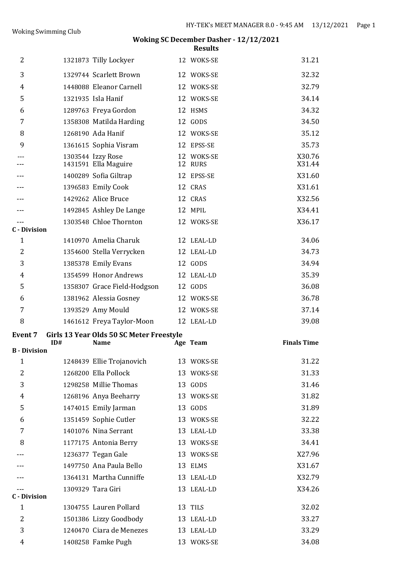| 2                                   |     | 1321873 Tilly Lockyer                                   |    | 12 WOKS-SE            | 31.21              |
|-------------------------------------|-----|---------------------------------------------------------|----|-----------------------|--------------------|
| 3                                   |     | 1329744 Scarlett Brown                                  |    | 12 WOKS-SE            | 32.32              |
| $\overline{4}$                      |     | 1448088 Eleanor Carnell                                 |    | 12 WOKS-SE            | 32.79              |
| 5                                   |     | 1321935 Isla Hanif                                      | 12 | WOKS-SE               | 34.14              |
| 6                                   |     | 1289763 Freya Gordon                                    | 12 | <b>HSMS</b>           | 34.32              |
| 7                                   |     | 1358308 Matilda Harding                                 |    | 12 GODS               | 34.50              |
| 8                                   |     | 1268190 Ada Hanif                                       |    | 12 WOKS-SE            | 35.12              |
| 9                                   |     | 1361615 Sophia Visram                                   |    | 12 EPSS-SE            | 35.73              |
|                                     |     | 1303544 Izzy Rose<br>1431591 Ella Maguire               |    | 12 WOKS-SE<br>12 RURS | X30.76<br>X31.44   |
|                                     |     | 1400289 Sofia Giltrap                                   | 12 | EPSS-SE               | X31.60             |
|                                     |     | 1396583 Emily Cook                                      |    | 12 CRAS               | X31.61             |
|                                     |     | 1429262 Alice Bruce                                     |    | 12 CRAS               | X32.56             |
|                                     |     | 1492845 Ashley De Lange                                 |    | 12 MPIL               | X34.41             |
|                                     |     | 1303548 Chloe Thornton                                  |    | 12 WOKS-SE            | X36.17             |
| <b>C</b> - Division<br>$\mathbf{1}$ |     | 1410970 Amelia Charuk                                   |    | 12 LEAL-LD            | 34.06              |
| 2                                   |     | 1354600 Stella Verrycken                                |    | 12 LEAL-LD            | 34.73              |
| 3                                   |     | 1385378 Emily Evans                                     |    | 12 GODS               | 34.94              |
| 4                                   |     | 1354599 Honor Andrews                                   |    | 12 LEAL-LD            | 35.39              |
| 5                                   |     | 1358307 Grace Field-Hodgson                             |    | 12 GODS               | 36.08              |
| 6                                   |     | 1381962 Alessia Gosney                                  |    | 12 WOKS-SE            | 36.78              |
| 7                                   |     | 1393529 Amy Mould                                       |    | 12 WOKS-SE            | 37.14              |
| 8                                   |     | 1461612 Freya Taylor-Moon                               |    | 12 LEAL-LD            | 39.08              |
|                                     |     |                                                         |    |                       |                    |
| <b>Event 7</b>                      | ID# | Girls 13 Year Olds 50 SC Meter Freestyle<br><b>Name</b> |    | Age Team              | <b>Finals Time</b> |
| <b>B</b> - Division                 |     |                                                         |    |                       |                    |
| $\mathbf{1}$                        |     | 1248439 Ellie Trojanovich                               |    | 13 WOKS-SE            | 31.22              |
| $\overline{2}$                      |     | 1268200 Ella Pollock                                    |    | 13 WOKS-SE            | 31.33              |
| 3                                   |     | 1298258 Millie Thomas                                   |    | 13 GODS               | 31.46              |
| 4                                   |     | 1268196 Anya Beeharry                                   |    | 13 WOKS-SE            | 31.82              |
| 5                                   |     | 1474015 Emily Jarman                                    |    | 13 GODS               | 31.89              |
| 6                                   |     | 1351459 Sophie Cutler                                   |    | 13 WOKS-SE            | 32.22              |
| 7                                   |     | 1401076 Nina Serrant                                    |    | 13 LEAL-LD            | 33.38              |
| 8                                   |     | 1177175 Antonia Berry                                   |    | 13 WOKS-SE            | 34.41              |
|                                     |     | 1236377 Tegan Gale                                      |    | 13 WOKS-SE            | X27.96             |
|                                     |     | 1497750 Ana Paula Bello                                 |    | 13 ELMS               | X31.67             |
|                                     |     | 1364131 Martha Cunniffe                                 |    | 13 LEAL-LD            | X32.79             |
| <b>C</b> - Division                 |     | 1309329 Tara Giri                                       |    | 13 LEAL-LD            | X34.26             |
| $\mathbf{1}$                        |     | 1304755 Lauren Pollard                                  |    | 13 TILS               | 32.02              |
| $\overline{2}$                      |     |                                                         |    |                       |                    |
|                                     |     |                                                         |    | 13 LEAL-LD            | 33.27              |
|                                     |     | 1501386 Lizzy Goodbody<br>1240470 Ciara de Menezes      |    | 13 LEAL-LD            | 33.29              |
| 3<br>4                              |     | 1408258 Famke Pugh                                      |    | 13 WOKS-SE            | 34.08              |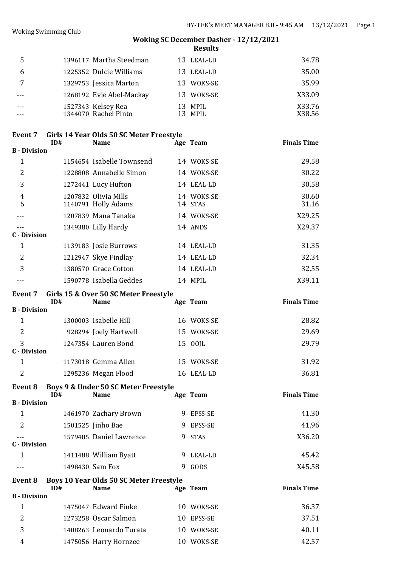| 5 | 1396117 Martha Steedman                    | 13 LEAL-LD         | 34.78            |
|---|--------------------------------------------|--------------------|------------------|
|   | 1225352 Dulcie Williams                    | 13 LEAL-LD         | 35.00            |
|   | 1329753 Jessica Marton                     | 13 WOKS-SE         | 35.99            |
|   | 1268192 Evie Abel-Mackay                   | 13 WOKS-SE         | X33.09           |
|   | 1527343 Kelsey Rea<br>1344070 Rachel Pinto | 13 MPIL<br>13 MPIL | X33.76<br>X38.56 |

#### **Event 7 Girls 14 Year Olds 50 SC Meter Freestyle**

|                     | ID# | <b>Name</b>                                 |    | Age Team              | <b>Finals Time</b> |
|---------------------|-----|---------------------------------------------|----|-----------------------|--------------------|
| <b>B</b> - Division |     |                                             |    |                       |                    |
| 1                   |     | 1154654 Isabelle Townsend                   |    | 14 WOKS-SE            | 29.58              |
| $\overline{2}$      |     | 1228808 Annabelle Simon                     |    | 14 WOKS-SE            | 30.22              |
| 3                   |     | 1272441 Lucy Hufton                         |    | 14 LEAL-LD            | 30.58              |
| 4<br>5              |     | 1207832 Olivia Mills<br>1140791 Holly Adams |    | 14 WOKS-SE<br>14 STAS | 30.60<br>31.16     |
|                     |     | 1207839 Mana Tanaka                         |    | 14 WOKS-SE            | X29.25             |
|                     |     | 1349380 Lilly Hardy                         |    | 14 ANDS               | X29.37             |
| <b>C</b> - Division |     |                                             |    |                       |                    |
| $\mathbf 1$         |     | 1139183 Josie Burrows                       |    | 14 LEAL-LD            | 31.35              |
| 2                   |     | 1212947 Skye Findlay                        |    | 14 LEAL-LD            | 32.34              |
| 3                   |     | 1380570 Grace Cotton                        | 14 | LEAL-LD               | 32.55              |
|                     |     | 1590778 Isabella Geddes                     |    | 14 MPIL               | X39.11             |

## **Event 7 Girls 15 & Over 50 SC Meter Freestyle**

|                     | ID# | <b>Name</b>           |    | Age Team   | <b>Finals Time</b> |
|---------------------|-----|-----------------------|----|------------|--------------------|
| <b>B</b> - Division |     |                       |    |            |                    |
| 1                   |     | 1300003 Isabelle Hill |    | 16 WOKS-SE | 28.82              |
| 2                   |     | 928294 Joely Hartwell |    | 15 WOKS-SE | 29.69              |
| 3                   |     | 1247354 Lauren Bond   |    | 15 00JL    | 29.79              |
| <b>C</b> - Division |     |                       |    |            |                    |
| 1                   |     | 1173018 Gemma Allen   |    | 15 WOKS-SE | 31.92              |
| 2                   |     | 1295236 Megan Flood   | 16 | LEAL-LD    | 36.81              |

#### **Event 8 Boys 9 & Under 50 SC Meter Freestyle ID# Name Age Team Finals Time B - Division**

| <b>B</b> - Division |                         |           |        |
|---------------------|-------------------------|-----------|--------|
|                     | 1461970 Zachary Brown   | 9 EPSS-SE | 41.30  |
| <sup>2</sup>        | 1501525 Jinho Bae       | 9 EPSS-SE | 41.96  |
| C - Division        | 1579485 Daniel Lawrence | 9 STAS    | X36.20 |
|                     | 1411488 William Byatt   | 9 LEAL-LD | 45.42  |
|                     | 1498430 Sam Fox         | GODS      | X45.58 |

# **Event 8 Boys 10 Year Olds 50 SC Meter Freestyle IDE IDE Ream Finals Time B - Division** 1 1475047 Edward Finke 10 WOKS-SE 36.37 2 1273258 Oscar Salmon 10 EPSS-SE 37.51 3 1408263 Leonardo Turata 10 WOKS-SE 40.11 4 1475056 Harry Hornzee 10 WOKS-SE 42.57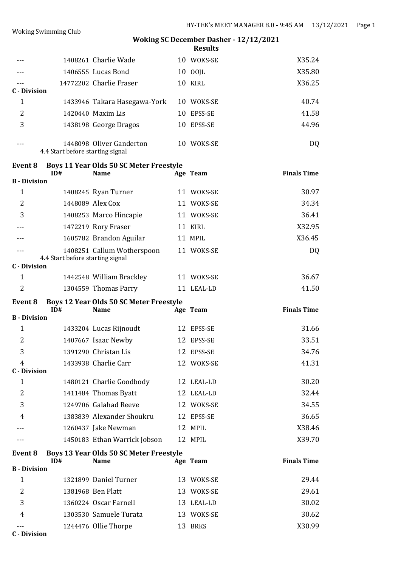|                          |                                  | 1408261 Charlie Wade                                          | 10 WOKS-SE         | X35.24             |
|--------------------------|----------------------------------|---------------------------------------------------------------|--------------------|--------------------|
|                          |                                  | 1406555 Lucas Bond                                            | 10 00JL            | X35.80             |
| <b>C</b> - Division      |                                  | 14772202 Charlie Fraser                                       | 10 KIRL            | X36.25             |
| $\mathbf{1}$             |                                  | 1433946 Takara Hasegawa-York                                  | 10 WOKS-SE         | 40.74              |
| 2                        |                                  | 1420440 Maxim Lis                                             | 10 EPSS-SE         | 41.58              |
| 3                        |                                  | 1438198 George Dragos                                         | 10 EPSS-SE         | 44.96              |
|                          | 4.4 Start before starting signal | 1448098 Oliver Ganderton                                      | 10 WOKS-SE         | DQ                 |
| Event 8                  | ID#                              | <b>Boys 11 Year Olds 50 SC Meter Freestyle</b><br><b>Name</b> | Age Team           | <b>Finals Time</b> |
| <b>B</b> - Division<br>1 |                                  |                                                               |                    | 30.97              |
| $\overline{2}$           |                                  | 1408245 Ryan Turner<br>1448089 Alex Cox                       | 11 WOKS-SE         |                    |
|                          |                                  |                                                               | 11 WOKS-SE         | 34.34              |
| 3                        |                                  | 1408253 Marco Hincapie                                        | 11 WOKS-SE         | 36.41<br>X32.95    |
|                          |                                  | 1472219 Rory Fraser                                           | 11 KIRL<br>11 MPIL | X36.45             |
|                          |                                  | 1605782 Brandon Aguilar                                       |                    |                    |
|                          | 4.4 Start before starting signal | 1408251 Callum Wotherspoon                                    | 11 WOKS-SE         | DQ                 |
| <b>C</b> - Division      |                                  |                                                               |                    |                    |
| 1                        |                                  | 1442548 William Brackley                                      | 11 WOKS-SE         | 36.67              |
| $\overline{2}$           |                                  | 1304559 Thomas Parry                                          | 11 LEAL-LD         | 41.50              |
|                          |                                  |                                                               |                    |                    |
| Event 8                  | ID#                              | <b>Boys 12 Year Olds 50 SC Meter Freestyle</b><br><b>Name</b> | Age Team           |                    |
| <b>B</b> - Division      |                                  |                                                               |                    | <b>Finals Time</b> |
| 1                        |                                  | 1433204 Lucas Rijnoudt                                        | 12 EPSS-SE         | 31.66              |
| 2                        |                                  | 1407667 Isaac Newby                                           | 12 EPSS-SE         | 33.51              |
| 3                        |                                  | 1391290 Christan Lis                                          | 12 EPSS-SE         | 34.76              |
| 4<br><b>C</b> - Division |                                  | 1433938 Charlie Carr                                          | 12 WOKS-SE         | 41.31              |
| 1                        |                                  | 1480121 Charlie Goodbody                                      | 12 LEAL-LD         | 30.20              |
| $\overline{2}$           |                                  | 1411484 Thomas Byatt                                          | 12 LEAL-LD         | 32.44              |
| 3                        |                                  | 1249706 Galahad Reeve                                         | 12 WOKS-SE         | 34.55              |
| 4                        |                                  | 1383839 Alexander Shoukru                                     | 12 EPSS-SE         | 36.65              |
|                          |                                  | 1260437 Jake Newman                                           | 12 MPIL            | X38.46             |
|                          |                                  | 1450183 Ethan Warrick Jobson                                  | 12 MPIL            | X39.70             |
| Event 8                  | ID#                              | Boys 13 Year Olds 50 SC Meter Freestyle<br><b>Name</b>        |                    |                    |
| <b>B</b> - Division      |                                  |                                                               | Age Team           | <b>Finals Time</b> |
| $\mathbf{1}$             |                                  | 1321899 Daniel Turner                                         | 13 WOKS-SE         | 29.44              |
| $\overline{2}$           |                                  | 1381968 Ben Platt                                             | 13 WOKS-SE         | 29.61              |
| 3                        |                                  | 1360224 Oscar Farnell                                         | 13 LEAL-LD         | 30.02              |
| 4                        |                                  | 1303530 Samuele Turata                                        | 13 WOKS-SE         | 30.62              |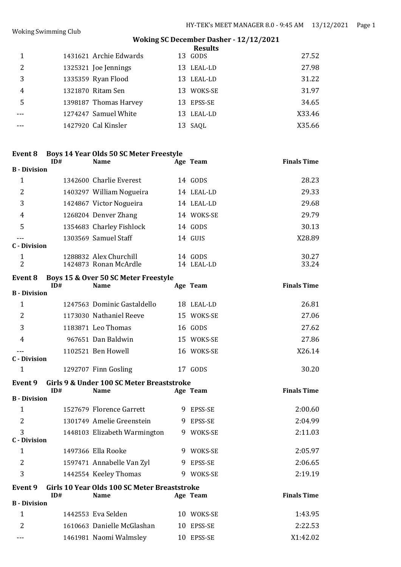#### Woking Swimming Club

# **Woking SC December Dasher - 12/12/2021**

|   |                        | <b>Results</b> |        |
|---|------------------------|----------------|--------|
|   | 1431621 Archie Edwards | 13 GODS        | 27.52  |
| 2 | 1325321 Joe Jennings   | 13 LEAL-LD     | 27.98  |
| 3 | 1335359 Ryan Flood     | 13 LEAL-LD     | 31.22  |
| 4 | 1321870 Ritam Sen      | 13 WOKS-SE     | 31.97  |
|   | 1398187 Thomas Harvey  | 13 EPSS-SE     | 34.65  |
|   | 1274247 Samuel White   | 13 LEAL-LD     | X33.46 |
|   | 1427920 Cal Kinsler    | 13 SAQL        | X35.66 |

## **Event 8 Boys 14 Year Olds 50 SC Meter Freestyle**

|                     | ID# | <b>Name</b>                                     |    | Age Team           | <b>Finals Time</b> |
|---------------------|-----|-------------------------------------------------|----|--------------------|--------------------|
| <b>B</b> - Division |     |                                                 |    |                    |                    |
| 1                   |     | 1342600 Charlie Everest                         |    | 14 GODS            | 28.23              |
| 2                   |     | 1403297 William Nogueira                        |    | 14 LEAL-LD         | 29.33              |
| 3                   |     | 1424867 Victor Nogueira                         |    | 14 LEAL-LD         | 29.68              |
| 4                   |     | 1268204 Denver Zhang                            |    | 14 WOKS-SE         | 29.79              |
| 5                   |     | 1354683 Charley Fishlock                        |    | 14 GODS            | 30.13              |
| <b>C</b> - Division |     | 1303569 Samuel Staff                            |    | 14 GUIS            | X28.89             |
| 1<br>$\overline{c}$ |     | 1288832 Alex Churchill<br>1424873 Ronan McArdle | 14 | 14 GODS<br>LEAL-LD | 30.27<br>33.24     |

#### **Event 8 Boys 15 & Over 50 SC Meter Freestyle**

|                     | ID# | <b>Name</b>                 |    | Age Team   | <b>Finals Time</b> |
|---------------------|-----|-----------------------------|----|------------|--------------------|
| <b>B</b> - Division |     |                             |    |            |                    |
| 1                   |     | 1247563 Dominic Gastaldello |    | 18 LEAL-LD | 26.81              |
| $\overline{2}$      |     | 1173030 Nathaniel Reeve     |    | 15 WOKS-SE | 27.06              |
| 3                   |     | 1183871 Leo Thomas          |    | 16 GODS    | 27.62              |
| 4                   |     | 967651 Dan Baldwin          | 15 | WOKS-SE    | 27.86              |
| C - Division        |     | 1102521 Ben Howell          |    | 16 WOKS-SE | X26.14             |
|                     |     | 1292707 Finn Gosling        |    | GODS       | 30.20              |

# **Event 9 Girls 9 & Under 100 SC Meter Breaststroke**

|                     | ID# | <b>Name</b>                                  |   | Age Team       | <b>Finals Time</b> |
|---------------------|-----|----------------------------------------------|---|----------------|--------------------|
| <b>B</b> - Division |     |                                              |   |                |                    |
| 1                   |     | 1527679 Florence Garrett                     | 9 | <b>EPSS-SE</b> | 2:00.60            |
| 2                   |     | 1301749 Amelie Greenstein                    | 9 | <b>EPSS-SE</b> | 2:04.99            |
| 3                   |     | 1448103 Elizabeth Warmington                 | 9 | WOKS-SE        | 2:11.03            |
| C - Division        |     |                                              |   |                |                    |
| 1                   |     | 1497366 Ella Rooke                           | 9 | WOKS-SE        | 2:05.97            |
| 2                   |     | 1597471 Annabelle Van Zyl                    |   | 9 EPSS-SE      | 2:06.65            |
| 3                   |     | 1442554 Keeley Thomas                        | 9 | WOKS-SE        | 2:19.19            |
| Event 9             |     | Girls 10 Year Olds 100 SC Meter Breaststroke |   |                |                    |
|                     | ID# | <b>Name</b>                                  |   | Age Team       | <b>Finals Time</b> |
| <b>B</b> - Division |     |                                              |   |                |                    |

|     | 1442553 Eva Selden         | 10 WOKS-SE | 1:43.95  |
|-----|----------------------------|------------|----------|
|     | 1610663 Danielle McGlashan | 10 EPSS-SE | 2:22.53  |
| --- | 1461981 Naomi Walmsley     | 10 EPSS-SE | X1:42.02 |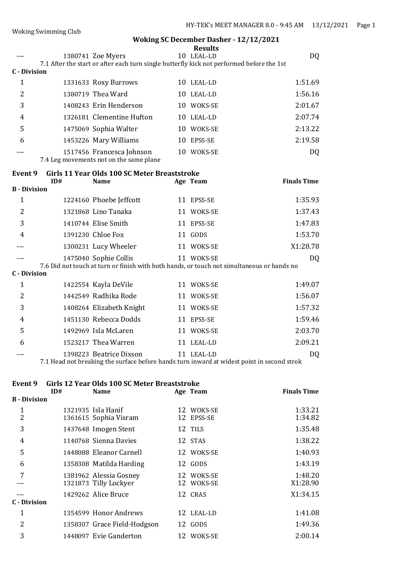|                     |     |                                                                                           |    | <b>Results</b> |                    |
|---------------------|-----|-------------------------------------------------------------------------------------------|----|----------------|--------------------|
|                     |     | 1380741 Zoe Myers                                                                         |    | 10 LEAL-LD     | DQ                 |
|                     |     | 7.1 After the start or after each turn single butterfly kick not performed before the 1st |    |                |                    |
| C - Division        |     |                                                                                           |    |                |                    |
| 1                   |     | 1331633 Roxy Burrows                                                                      |    | 10 LEAL-LD     | 1:51.69            |
| $\overline{2}$      |     | 1380719 Thea Ward                                                                         |    | 10 LEAL-LD     | 1:56.16            |
| 3                   |     | 1408243 Erin Henderson                                                                    |    | 10 WOKS-SE     | 2:01.67            |
| 4                   |     | 1326181 Clementine Hufton                                                                 |    | 10 LEAL-LD     | 2:07.74            |
| 5                   |     | 1475069 Sophia Walter                                                                     |    | 10 WOKS-SE     | 2:13.22            |
| 6                   |     | 1453226 Mary Williams                                                                     | 10 | EPSS-SE        | 2:19.58            |
|                     |     | 1517456 Francesca Johnson<br>7.4 Leg movements not on the same plane                      |    | 10 WOKS-SE     | DQ                 |
| Event 9             |     | Girls 11 Year Olds 100 SC Meter Breaststroke                                              |    |                |                    |
|                     | ID# | <b>Name</b>                                                                               |    | Age Team       | <b>Finals Time</b> |
| <b>B</b> - Division |     |                                                                                           |    |                |                    |
| $\mathbf{1}$        |     | 1224160 Phoebe Jeffcott                                                                   | 11 | EPSS-SE        | 1:35.93            |
| $\overline{2}$      |     | 1321868 Lino Tanaka                                                                       | 11 | WOKS-SE        | 1:37.43            |
| 3                   |     | 1410744 Elise Smith                                                                       | 11 | EPSS-SE        | 1:47.83            |
| 4                   |     | 1391230 Chloe Fox                                                                         |    | 11 GODS        | 1:53.70            |

--- 1475040 Sophie Collis 11 WOKS-SE DQ

-- 1300231 Lucy Wheeler 11 WOKS-SE X1:28.78

|              | 7.6 Did not touch at turn or finish with both hands, or touch not simultaneous or hands no |               |         |
|--------------|--------------------------------------------------------------------------------------------|---------------|---------|
| C - Division |                                                                                            |               |         |
| 1            | 1422554 Kayla DeVile                                                                       | 11 WOKS-SE    | 1:49.07 |
| 2            | 1442549 Radhika Rode                                                                       | 11 WOKS-SE    | 1:56.07 |
| 3            | 1408264 Elizabeth Knight                                                                   | 11 WOKS-SE    | 1:57.32 |
| 4            | 1451130 Rebecca Dodds                                                                      | 11 EPSS-SE    | 1:59.46 |
| 5            | 1492969 Isla McLaren                                                                       | 11 WOKS-SE    | 2:03.70 |
| 6            | 1523217 Thea Warren                                                                        | 11 LEAL-LD    | 2:09.21 |
|              | 1398223 Beatrice Dixson                                                                    | LEAL-LD<br>11 | DQ      |

7.1 Head not breaking the surface before hands turn inward at widest point in second strok

# **Event 9 Girls 12 Year Olds 100 SC Meter Breaststroke**

|                     | ID# | <b>Name</b>                 | Age Team   | <b>Finals Time</b> |
|---------------------|-----|-----------------------------|------------|--------------------|
| <b>B</b> - Division |     |                             |            |                    |
| $\mathbf 1$         |     | 1321935 Isla Hanif          | 12 WOKS-SE | 1:33.21            |
| $\overline{2}$      |     | 1361615 Sophia Visram       | 12 EPSS-SE | 1:34.82            |
| 3                   |     | 1437648 Imogen Stent        | 12 TILS    | 1:35.48            |
| 4                   |     | 1140768 Sienna Davies       | 12 STAS    | 1:38.22            |
| 5                   |     | 1448088 Eleanor Carnell     | 12 WOKS-SE | 1:40.93            |
| 6                   |     | 1358308 Matilda Harding     | 12 GODS    | 1:43.19            |
| 7                   |     | 1381962 Alessia Gosney      | 12 WOKS-SE | 1:48.20            |
|                     |     | 1321873 Tilly Lockyer       | 12 WOKS-SE | X1:28.90           |
|                     |     | 1429262 Alice Bruce         | 12 CRAS    | X1:34.15           |
| C - Division        |     |                             |            |                    |
| $\mathbf{1}$        |     | 1354599 Honor Andrews       | 12 LEAL-LD | 1:41.08            |
| 2                   |     | 1358307 Grace Field-Hodgson | 12 GODS    | 1:49.36            |
| 3                   |     | 1448097 Evie Ganderton      | 12 WOKS-SE | 2:00.14            |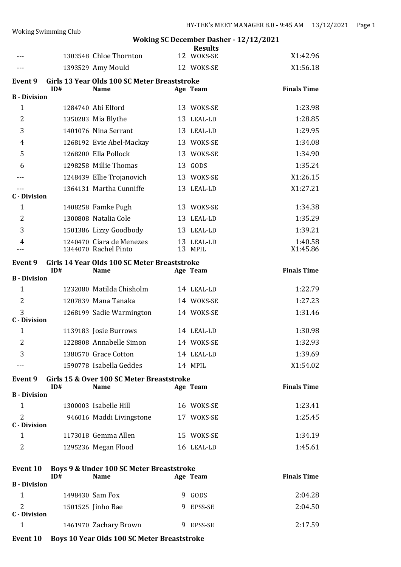|                                       |     |                                                             | <b>Results</b>        |                    |
|---------------------------------------|-----|-------------------------------------------------------------|-----------------------|--------------------|
|                                       |     | 1303548 Chloe Thornton                                      | 12 WOKS-SE            | X1:42.96           |
| ---                                   |     | 1393529 Amy Mould                                           | 12 WOKS-SE            | X1:56.18           |
| Event 9                               | ID# | Girls 13 Year Olds 100 SC Meter Breaststroke<br><b>Name</b> | Age Team              | <b>Finals Time</b> |
| <b>B</b> - Division                   |     |                                                             |                       |                    |
| $\mathbf{1}$                          |     | 1284740 Abi Elford                                          | 13 WOKS-SE            | 1:23.98            |
| $\overline{2}$                        |     | 1350283 Mia Blythe                                          | 13 LEAL-LD            | 1:28.85            |
| 3                                     |     | 1401076 Nina Serrant                                        | 13 LEAL-LD            | 1:29.95            |
| 4                                     |     | 1268192 Evie Abel-Mackay                                    | 13 WOKS-SE            | 1:34.08            |
| 5                                     |     | 1268200 Ella Pollock                                        | 13 WOKS-SE            | 1:34.90            |
| 6                                     |     | 1298258 Millie Thomas                                       | 13 GODS               | 1:35.24            |
|                                       |     | 1248439 Ellie Trojanovich                                   | 13 WOKS-SE            | X1:26.15           |
| ---                                   |     | 1364131 Martha Cunniffe                                     | 13 LEAL-LD            | X1:27.21           |
| <b>C</b> - Division<br>$\mathbf{1}$   |     | 1408258 Famke Pugh                                          | 13 WOKS-SE            | 1:34.38            |
| 2                                     |     | 1300808 Natalia Cole                                        | 13 LEAL-LD            | 1:35.29            |
| 3                                     |     | 1501386 Lizzy Goodbody                                      | 13 LEAL-LD            | 1:39.21            |
|                                       |     | 1240470 Ciara de Menezes                                    |                       | 1:40.58            |
| 4                                     |     | 1344070 Rachel Pinto                                        | 13 LEAL-LD<br>13 MPIL | X1:45.86           |
| Event 9                               |     | Girls 14 Year Olds 100 SC Meter Breaststroke                |                       |                    |
| <b>B</b> - Division                   | ID# | <b>Name</b>                                                 | Age Team              | <b>Finals Time</b> |
| $\mathbf{1}$                          |     | 1232080 Matilda Chisholm                                    | 14 LEAL-LD            | 1:22.79            |
| $\overline{2}$                        |     | 1207839 Mana Tanaka                                         | 14 WOKS-SE            | 1:27.23            |
| 3                                     |     | 1268199 Sadie Warmington                                    | 14 WOKS-SE            | 1:31.46            |
| <b>C</b> - Division                   |     |                                                             |                       |                    |
| $\mathbf{1}$                          |     | 1139183 Josie Burrows                                       | 14 LEAL-LD            | 1:30.98            |
| 2                                     |     | 1228808 Annabelle Simon                                     | 14 WOKS-SE            | 1:32.93            |
| 3                                     |     | 1380570 Grace Cotton                                        | 14 LEAL-LD            | 1:39.69            |
|                                       |     | 1590778 Isabella Geddes                                     | 14 MPIL               | X1:54.02           |
| <b>Event 9</b>                        |     | Girls 15 & Over 100 SC Meter Breaststroke                   |                       |                    |
| <b>B</b> - Division                   | ID# | <b>Name</b>                                                 | Age Team              | <b>Finals Time</b> |
| $\mathbf{1}$                          |     | 1300003 Isabelle Hill                                       | 16 WOKS-SE            | 1:23.41            |
| $\overline{2}$                        |     | 946016 Maddi Livingstone                                    | 17 WOKS-SE            | 1:25.45            |
| <b>C</b> - Division                   |     |                                                             |                       |                    |
| $\mathbf{1}$                          |     | 1173018 Gemma Allen                                         | 15 WOKS-SE            | 1:34.19            |
| 2                                     |     | 1295236 Megan Flood                                         | 16 LEAL-LD            | 1:45.61            |
| <b>Event 10</b>                       | ID# | Boys 9 & Under 100 SC Meter Breaststroke<br><b>Name</b>     | Age Team              | <b>Finals Time</b> |
| <b>B</b> - Division                   |     |                                                             |                       |                    |
| 1                                     |     | 1498430 Sam Fox                                             | 9 GODS                | 2:04.28            |
| $\overline{2}$<br><b>C</b> - Division |     | 1501525 Jinho Bae                                           | 9 EPSS-SE             | 2:04.50            |
| $\mathbf{1}$                          |     | 1461970 Zachary Brown                                       | 9 EPSS-SE             | 2:17.59            |

**Event 10 Boys 10 Year Olds 100 SC Meter Breaststroke**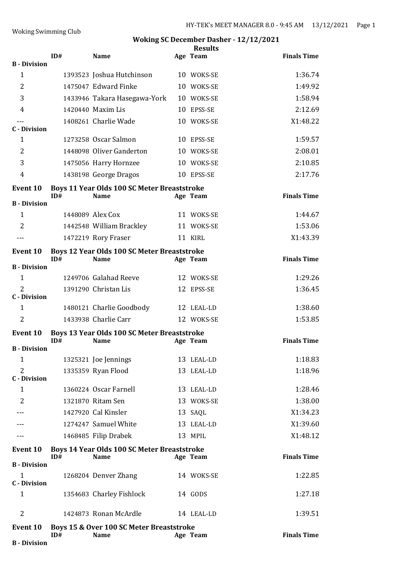|                                       | ID# | <b>Name</b>                                                       | <b>Results</b><br>Age Team | <b>Finals Time</b> |
|---------------------------------------|-----|-------------------------------------------------------------------|----------------------------|--------------------|
| <b>B</b> - Division                   |     |                                                                   |                            |                    |
| 1                                     |     | 1393523 Joshua Hutchinson                                         | 10 WOKS-SE                 | 1:36.74            |
| $\overline{2}$                        |     | 1475047 Edward Finke                                              | 10 WOKS-SE                 | 1:49.92            |
| 3                                     |     | 1433946 Takara Hasegawa-York                                      | 10 WOKS-SE                 | 1:58.94            |
| 4                                     |     | 1420440 Maxim Lis                                                 | 10 EPSS-SE                 | 2:12.69            |
| <b>C</b> - Division                   |     | 1408261 Charlie Wade                                              | 10 WOKS-SE                 | X1:48.22           |
| $\mathbf{1}$                          |     | 1273258 Oscar Salmon                                              | 10 EPSS-SE                 | 1:59.57            |
| $\overline{2}$                        |     | 1448098 Oliver Ganderton                                          | 10 WOKS-SE                 | 2:08.01            |
| 3                                     |     | 1475056 Harry Hornzee                                             | 10 WOKS-SE                 | 2:10.85            |
| $\overline{4}$                        |     | 1438198 George Dragos                                             | 10 EPSS-SE                 | 2:17.76            |
| <b>Event 10</b>                       | ID# | <b>Boys 11 Year Olds 100 SC Meter Breaststroke</b><br><b>Name</b> | Age Team                   | <b>Finals Time</b> |
| <b>B</b> - Division                   |     |                                                                   |                            |                    |
| $\mathbf{1}$                          |     | 1448089 Alex Cox                                                  | 11 WOKS-SE                 | 1:44.67            |
| $\overline{2}$                        |     | 1442548 William Brackley                                          | 11 WOKS-SE                 | 1:53.06            |
| $- - -$                               |     | 1472219 Rory Fraser                                               | 11 KIRL                    | X1:43.39           |
| <b>Event 10</b>                       | ID# | <b>Boys 12 Year Olds 100 SC Meter Breaststroke</b><br><b>Name</b> | Age Team                   | <b>Finals Time</b> |
| <b>B</b> - Division                   |     |                                                                   |                            |                    |
| $\mathbf{1}$                          |     | 1249706 Galahad Reeve                                             | 12 WOKS-SE                 | 1:29.26            |
| $\overline{2}$<br><b>C</b> - Division |     | 1391290 Christan Lis                                              | 12 EPSS-SE                 | 1:36.45            |
| $\mathbf{1}$                          |     | 1480121 Charlie Goodbody                                          | 12 LEAL-LD                 | 1:38.60            |
| $\overline{2}$                        |     | 1433938 Charlie Carr                                              | 12 WOKS-SE                 | 1:53.85            |
| <b>Event 10</b>                       |     | <b>Boys 13 Year Olds 100 SC Meter Breaststroke</b>                |                            |                    |
| <b>B</b> - Division                   | ID# | <b>Name</b>                                                       | Age Team                   | <b>Finals Time</b> |
| $\mathbf{1}$                          |     | 1325321 Joe Jennings                                              | 13 LEAL-LD                 | 1:18.83            |
| 2                                     |     | 1335359 Ryan Flood                                                | 13 LEAL-LD                 | 1:18.96            |
| <b>C</b> - Division                   |     |                                                                   |                            |                    |
| $\mathbf{1}$                          |     | 1360224 Oscar Farnell                                             | 13 LEAL-LD                 | 1:28.46            |
| $\overline{2}$                        |     | 1321870 Ritam Sen                                                 | 13 WOKS-SE                 | 1:38.00            |
|                                       |     | 1427920 Cal Kinsler                                               | 13 SAQL                    | X1:34.23           |
|                                       |     | 1274247 Samuel White                                              | 13 LEAL-LD                 | X1:39.60           |
|                                       |     | 1468485 Filip Drabek                                              | 13 MPIL                    | X1:48.12           |
| <b>Event 10</b>                       | ID# | <b>Boys 14 Year Olds 100 SC Meter Breaststroke</b><br><b>Name</b> | Age Team                   | <b>Finals Time</b> |
| <b>B</b> - Division                   |     |                                                                   |                            |                    |
| 1<br><b>C</b> - Division              |     | 1268204 Denver Zhang                                              | 14 WOKS-SE                 | 1:22.85            |
| 1                                     |     | 1354683 Charley Fishlock                                          | 14 GODS                    | 1:27.18            |
| $\overline{2}$                        |     | 1424873 Ronan McArdle                                             | 14 LEAL-LD                 | 1:39.51            |
| <b>Event 10</b>                       | ID# | Boys 15 & Over 100 SC Meter Breaststroke<br><b>Name</b>           | Age Team                   | <b>Finals Time</b> |
| <b>B</b> - Division                   |     |                                                                   |                            |                    |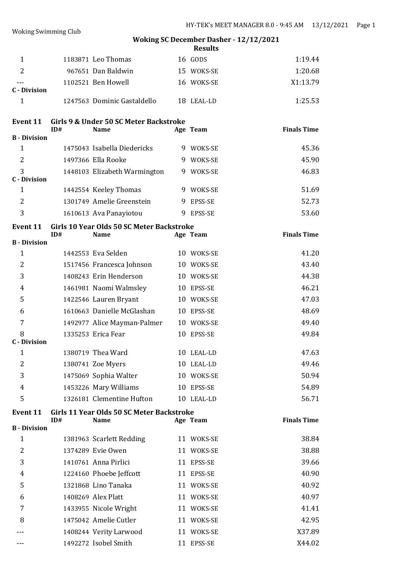|                                     |     |                                           |   | <b>Results</b> |                    |
|-------------------------------------|-----|-------------------------------------------|---|----------------|--------------------|
| 1                                   |     | 1183871 Leo Thomas                        |   | 16 GODS        | 1:19.44            |
| $\overline{2}$                      |     | 967651 Dan Baldwin                        |   | 15 WOKS-SE     | 1:20.68            |
|                                     |     | 1102521 Ben Howell                        |   | 16 WOKS-SE     | X1:13.79           |
| <b>C</b> - Division                 |     |                                           |   |                |                    |
| $\mathbf{1}$                        |     | 1247563 Dominic Gastaldello               |   | 18 LEAL-LD     | 1:25.53            |
| <b>Event 11</b>                     |     | Girls 9 & Under 50 SC Meter Backstroke    |   |                |                    |
|                                     | ID# | <b>Name</b>                               |   | Age Team       | <b>Finals Time</b> |
| <b>B</b> - Division<br>$\mathbf{1}$ |     | 1475043 Isabella Diedericks               |   | 9 WOKS-SE      | 45.36              |
| $\overline{2}$                      |     | 1497366 Ella Rooke                        |   | 9 WOKS-SE      | 45.90              |
| 3                                   |     | 1448103 Elizabeth Warmington              |   | 9 WOKS-SE      | 46.83              |
| <b>C</b> - Division                 |     |                                           |   |                |                    |
| $\mathbf{1}$                        |     | 1442554 Keeley Thomas                     |   | 9 WOKS-SE      | 51.69              |
| 2                                   |     | 1301749 Amelie Greenstein                 |   | 9 EPSS-SE      | 52.73              |
| 3                                   |     | 1610613 Ava Panayiotou                    | 9 | EPSS-SE        | 53.60              |
| <b>Event 11</b>                     |     | Girls 10 Year Olds 50 SC Meter Backstroke |   |                |                    |
| <b>B</b> - Division                 | ID# | <b>Name</b>                               |   | Age Team       | <b>Finals Time</b> |
| $\mathbf{1}$                        |     | 1442553 Eva Selden                        |   | 10 WOKS-SE     | 41.20              |
| $\overline{2}$                      |     | 1517456 Francesca Johnson                 |   | 10 WOKS-SE     | 43.40              |
| 3                                   |     | 1408243 Erin Henderson                    |   | 10 WOKS-SE     | 44.38              |
| 4                                   |     | 1461981 Naomi Walmsley                    |   | 10 EPSS-SE     | 46.21              |
| 5                                   |     | 1422546 Lauren Bryant                     |   | 10 WOKS-SE     | 47.03              |
| 6                                   |     | 1610663 Danielle McGlashan                |   | 10 EPSS-SE     | 48.69              |
| 7                                   |     | 1492977 Alice Mayman-Palmer               |   | 10 WOKS-SE     | 49.40              |
| 8<br><b>C</b> - Division            |     | 1335253 Erica Fear                        |   | 10 EPSS-SE     | 49.84              |
| $\mathbf{1}$                        |     | 1380719 Thea Ward                         |   | 10 LEAL-LD     | 47.63              |
| 2                                   |     | 1380741 Zoe Myers                         |   | 10 LEAL-LD     | 49.46              |
| 3                                   |     | 1475069 Sophia Walter                     |   | 10 WOKS-SE     | 50.94              |
| 4                                   |     | 1453226 Mary Williams                     |   | 10 EPSS-SE     | 54.89              |
| 5                                   |     | 1326181 Clementine Hufton                 |   | 10 LEAL-LD     | 56.71              |
| <b>Event 11</b>                     |     | Girls 11 Year Olds 50 SC Meter Backstroke |   |                |                    |
|                                     | ID# | <b>Name</b>                               |   | Age Team       | <b>Finals Time</b> |
| <b>B</b> - Division<br>$\mathbf{1}$ |     | 1381963 Scarlett Redding                  |   | 11 WOKS-SE     | 38.84              |
| 2                                   |     | 1374289 Evie Owen                         |   | 11 WOKS-SE     | 38.88              |
| 3                                   |     | 1410761 Anna Pirlici                      |   | 11 EPSS-SE     | 39.66              |
| 4                                   |     | 1224160 Phoebe Jeffcott                   |   | 11 EPSS-SE     | 40.90              |
| 5                                   |     | 1321868 Lino Tanaka                       |   | 11 WOKS-SE     | 40.92              |
| 6                                   |     | 1408269 Alex Platt                        |   | 11 WOKS-SE     | 40.97              |
| 7                                   |     | 1433955 Nicole Wright                     |   | 11 WOKS-SE     | 41.41              |
| 8                                   |     | 1475042 Amelie Cutler                     |   | 11 WOKS-SE     | 42.95              |
|                                     |     | 1408244 Verity Larwood                    |   | 11 WOKS-SE     | X37.89             |
| ---                                 |     | 1492272 Isobel Smith                      |   | 11 EPSS-SE     | X44.02             |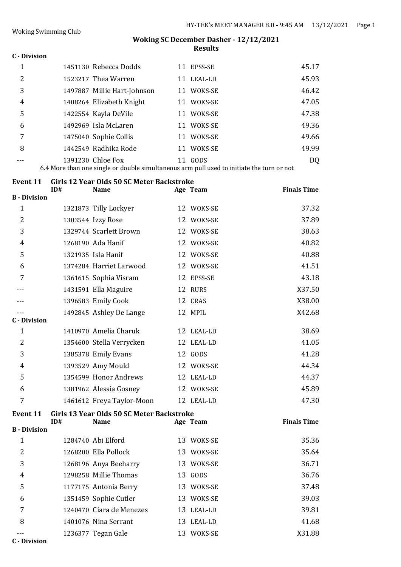## **C - Division**

|   | 1451130 Rebecca Dodds       | EPSS-SE<br>11 | 45.17          |
|---|-----------------------------|---------------|----------------|
| 2 | 1523217 Thea Warren         | LEAL-LD<br>11 | 45.93          |
| 3 | 1497887 Millie Hart-Johnson | WOKS-SE<br>11 | 46.42          |
| 4 | 1408264 Elizabeth Knight    | WOKS-SE<br>11 | 47.05          |
| 5 | 1422554 Kayla DeVile        | WOKS-SE<br>11 | 47.38          |
| 6 | 1492969 Isla McLaren        | WOKS-SE<br>11 | 49.36          |
|   | 1475040 Sophie Collis       | WOKS-SE<br>11 | 49.66          |
| 8 | 1442549 Radhika Rode        | WOKS-SE<br>11 | 49.99          |
|   | 1391230 Chloe Fox           | GODS          | D <sub>Q</sub> |

6.4 More than one single or double simultaneous arm pull used to initiate the turn or not

| <b>Event 11</b>     | ID# | Girls 12 Year Olds 50 SC Meter Backstroke<br><b>Name</b> |    | Age Team   | <b>Finals Time</b> |
|---------------------|-----|----------------------------------------------------------|----|------------|--------------------|
| <b>B</b> - Division |     |                                                          |    |            |                    |
| $\mathbf{1}$        |     | 1321873 Tilly Lockyer                                    |    | 12 WOKS-SE | 37.32              |
| 2                   |     | 1303544 Izzy Rose                                        |    | 12 WOKS-SE | 37.89              |
| 3                   |     | 1329744 Scarlett Brown                                   |    | 12 WOKS-SE | 38.63              |
| 4                   |     | 1268190 Ada Hanif                                        |    | 12 WOKS-SE | 40.82              |
| 5                   |     | 1321935 Isla Hanif                                       |    | 12 WOKS-SE | 40.88              |
| 6                   |     | 1374284 Harriet Larwood                                  |    | 12 WOKS-SE | 41.51              |
| 7                   |     | 1361615 Sophia Visram                                    |    | 12 EPSS-SE | 43.18              |
|                     |     | 1431591 Ella Maguire                                     |    | 12 RURS    | X37.50             |
|                     |     | 1396583 Emily Cook                                       |    | 12 CRAS    | X38.00             |
|                     |     | 1492845 Ashley De Lange                                  |    | 12 MPIL    | X42.68             |
| <b>C</b> - Division |     |                                                          |    |            |                    |
| $\mathbf 1$         |     | 1410970 Amelia Charuk                                    |    | 12 LEAL-LD | 38.69              |
| 2                   |     | 1354600 Stella Verrycken                                 |    | 12 LEAL-LD | 41.05              |
| 3                   |     | 1385378 Emily Evans                                      |    | 12 GODS    | 41.28              |
| 4                   |     | 1393529 Amy Mould                                        |    | 12 WOKS-SE | 44.34              |
| 5                   |     | 1354599 Honor Andrews                                    |    | 12 LEAL-LD | 44.37              |
| 6                   |     | 1381962 Alessia Gosney                                   |    | 12 WOKS-SE | 45.89              |
| 7                   |     | 1461612 Freya Taylor-Moon                                |    | 12 LEAL-LD | 47.30              |
| <b>Event 11</b>     | ID# | Girls 13 Year Olds 50 SC Meter Backstroke<br><b>Name</b> |    | Age Team   | <b>Finals Time</b> |
| <b>B</b> - Division |     |                                                          |    |            |                    |
| $\mathbf{1}$        |     | 1284740 Abi Elford                                       | 13 | WOKS-SE    | 35.36              |
| 2                   |     | 1268200 Ella Pollock                                     |    | 13 WOKS-SE | 35.64              |
| 3                   |     | 1268196 Anya Beeharry                                    |    | 13 WOKS-SE | 36.71              |
| 4                   |     | 1298258 Millie Thomas                                    |    | 13 GODS    | 36.76              |
| 5                   |     | 1177175 Antonia Berry                                    |    | 13 WOKS-SE | 37.48              |
| 6                   |     | 1351459 Sophie Cutler                                    |    | 13 WOKS-SE | 39.03              |
| 7                   |     | 1240470 Ciara de Menezes                                 |    | 13 LEAL-LD | 39.81              |
| 8                   |     | 1401076 Nina Serrant                                     |    | 13 LEAL-LD | 41.68              |
| ---                 |     | 1236377 Tegan Gale                                       |    | 13 WOKS-SE | X31.88             |

**C - Division**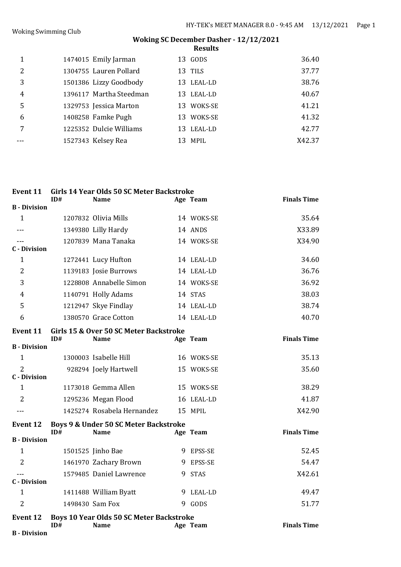|   |                         | <b>Results</b> |        |
|---|-------------------------|----------------|--------|
| 1 | 1474015 Emily Jarman    | 13 GODS        | 36.40  |
| 2 | 1304755 Lauren Pollard  | 13 TILS        | 37.77  |
| 3 | 1501386 Lizzy Goodbody  | 13 LEAL-LD     | 38.76  |
| 4 | 1396117 Martha Steedman | 13 LEAL-LD     | 40.67  |
| 5 | 1329753 Jessica Marton  | 13 WOKS-SE     | 41.21  |
| 6 | 1408258 Famke Pugh      | 13 WOKS-SE     | 41.32  |
|   | 1225352 Dulcie Williams | 13 LEAL-LD     | 42.77  |
|   | 1527343 Kelsey Rea      | MPIL<br>13     | X42.37 |
|   |                         |                |        |

| <b>Event 11</b>     | ID# | Girls 14 Year Olds 50 SC Meter Backstroke<br><b>Name</b>       | Age Team   | <b>Finals Time</b> |
|---------------------|-----|----------------------------------------------------------------|------------|--------------------|
| <b>B</b> - Division |     |                                                                |            |                    |
| $\mathbf{1}$        |     | 1207832 Olivia Mills                                           | 14 WOKS-SE | 35.64              |
| $---$               |     | 1349380 Lilly Hardy                                            | 14 ANDS    | X33.89             |
|                     |     | 1207839 Mana Tanaka                                            | 14 WOKS-SE | X34.90             |
| <b>C</b> - Division |     |                                                                |            |                    |
| $\mathbf{1}$        |     | 1272441 Lucy Hufton                                            | 14 LEAL-LD | 34.60              |
| 2                   |     | 1139183 Josie Burrows                                          | 14 LEAL-LD | 36.76              |
| 3                   |     | 1228808 Annabelle Simon                                        | 14 WOKS-SE | 36.92              |
| 4                   |     | 1140791 Holly Adams                                            | 14 STAS    | 38.03              |
| 5                   |     | 1212947 Skye Findlay                                           | 14 LEAL-LD | 38.74              |
| 6                   |     | 1380570 Grace Cotton                                           | 14 LEAL-LD | 40.70              |
| Event 11            | ID# | Girls 15 & Over 50 SC Meter Backstroke<br><b>Name</b>          | Age Team   | <b>Finals Time</b> |
| <b>B</b> - Division |     |                                                                |            |                    |
| $\mathbf{1}$        |     | 1300003 Isabelle Hill                                          | 16 WOKS-SE | 35.13              |
| $\overline{2}$      |     | 928294 Joely Hartwell                                          | 15 WOKS-SE | 35.60              |
| <b>C</b> - Division |     |                                                                |            |                    |
| 1                   |     | 1173018 Gemma Allen                                            | 15 WOKS-SE | 38.29              |
| $\overline{2}$      |     | 1295236 Megan Flood                                            | 16 LEAL-LD | 41.87              |
|                     |     | 1425274 Rosabela Hernandez                                     | 15 MPIL    | X42.90             |
| <b>Event 12</b>     | ID# | Boys 9 & Under 50 SC Meter Backstroke<br><b>Name</b>           | Age Team   | <b>Finals Time</b> |
| <b>B</b> - Division |     |                                                                |            |                    |
| $\mathbf{1}$        |     | 1501525 Jinho Bae                                              | 9 EPSS-SE  | 52.45              |
| $\overline{2}$      |     | 1461970 Zachary Brown                                          | 9 EPSS-SE  | 54.47              |
|                     |     | 1579485 Daniel Lawrence                                        | 9 STAS     | X42.61             |
| <b>C</b> - Division |     |                                                                |            |                    |
| $\mathbf{1}$        |     | 1411488 William Byatt                                          | 9 LEAL-LD  | 49.47              |
| $\overline{2}$      |     | 1498430 Sam Fox                                                | 9 GODS     | 51.77              |
| <b>Event 12</b>     | ID# | <b>Boys 10 Year Olds 50 SC Meter Backstroke</b><br><b>Name</b> | Age Team   | <b>Finals Time</b> |
| <b>B</b> - Division |     |                                                                |            |                    |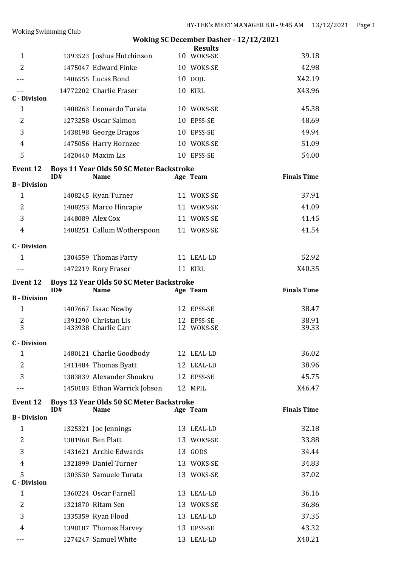# **Woking SC December Dasher - 12/12/2021 Results**<br>10 WOKS-SE 1 1393523 Joshua Hutchinson 10 WOKS-SE 39.18 2 1475047 Edward Finke 10 WOKS-SE 42.98 --- 1406555 Lucas Bond 10 OOJL X42.19 -- 14772202 Charlie Fraser 10 KIRL 23.96 **C - Division** 1 1408263 Leonardo Turata 10 WOKS-SE 45.38 2 1273258 Oscar Salmon 10 EPSS-SE 48.69 3 1438198 George Dragos 10 EPSS-SE 49.94 4 1475056 Harry Hornzee 10 WOKS-SE 51.09 5 1420440 Maxim Lis 10 EPSS-SE 54.00 **Event 12 Boys 11 Year Olds 50 SC Meter Backstroke ID# Name Age Team Finals Time B - Division** 1 1408245 Ryan Turner 11 WOKS-SE 37.91 2 1408253 Marco Hincapie 11 WOKS-SE 41.09 3 1448089 Alex Cox 11 WOKS-SE 41.45 4 1408251 Callum Wotherspoon 11 WOKS-SE 41.54 **C - Division** 1 1304559 Thomas Parry 11 LEAL-LD 52.92 -- 1472219 Rory Fraser 11 KIRL X40.35 **Event 12 Boys 12 Year Olds 50 SC Meter Backstroke IDE IDE Ream Finals Time B - Division** 1 1407667 Isaac Newby 12 EPSS-SE 38.47 2 1391290 Christan Lis 12 EPSS-SE 38.91 1433938 Charlie Carr **C - Division** 1 1480121 Charlie Goodbody 12 LEAL-LD 36.02 2 1411484 Thomas Byatt 12 LEAL-LD 38.96 3 1383839 Alexander Shoukru 12 EPSS-SE 45.75 --- 1450183 Ethan Warrick Jobson 12 MPIL X46.47 **Event 12 Boys 13 Year Olds 50 SC Meter Backstroke ID# Name Age Team Finals Time B - Division** 1 1325321 Joe Jennings 13 LEAL-LD 32.18 2 1381968 Ben Platt 13 WOKS-SE 33.88 3 1431621 Archie Edwards 13 GODS 34.44 4 1321899 Daniel Turner 13 WOKS-SE 34.83 5 1303530 Samuele Turata 13 WOKS-SE 37.02 **C - Division** 1 1360224 Oscar Farnell 13 LEAL-LD 36.16 2 1321870 Ritam Sen 13 WOKS-SE 36.86

3 1335359 Ryan Flood 13 LEAL-LD 37.35 4 1398187 Thomas Harvey 13 EPSS-SE 43.32 --- 1274247 Samuel White 13 LEAL-LD X40.21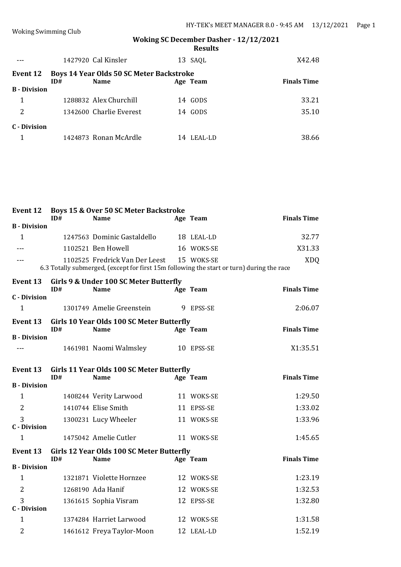|                     |     | 1427920 Cal Kinsler                             |    | 13 SAQL  | X42.48             |
|---------------------|-----|-------------------------------------------------|----|----------|--------------------|
| Event 12            |     | <b>Boys 14 Year Olds 50 SC Meter Backstroke</b> |    |          |                    |
|                     | ID# | <b>Name</b>                                     |    | Age Team | <b>Finals Time</b> |
| <b>B</b> - Division |     |                                                 |    |          |                    |
| 1                   |     | 1288832 Alex Churchill                          |    | 14 GODS  | 33.21              |
| 2                   |     | 1342600 Charlie Everest                         |    | 14 GODS  | 35.10              |
| C - Division        |     |                                                 |    |          |                    |
|                     |     | 1424873 Ronan McArdle                           | 14 | LEAL-LD  | 38.66              |

| <b>Event 12</b>                       | ID# | <b>Boys 15 &amp; Over 50 SC Meter Backstroke</b><br><b>Name</b>                                                                        | Age Team   | <b>Finals Time</b> |
|---------------------------------------|-----|----------------------------------------------------------------------------------------------------------------------------------------|------------|--------------------|
| <b>B</b> - Division                   |     |                                                                                                                                        |            |                    |
| $\mathbf{1}$                          |     | 1247563 Dominic Gastaldello                                                                                                            | 18 LEAL-LD | 32.77              |
|                                       |     | 1102521 Ben Howell                                                                                                                     | 16 WOKS-SE | X31.33             |
| $---$                                 |     | 1102525 Fredrick Van Der Leest 15 WOKS-SE<br>6.3 Totally submerged, (except for first 15m following the start or turn) during the race |            | <b>XDQ</b>         |
| <b>Event 13</b>                       | ID# | Girls 9 & Under 100 SC Meter Butterfly<br><b>Name</b>                                                                                  | Age Team   | <b>Finals Time</b> |
| <b>C</b> - Division                   |     |                                                                                                                                        |            |                    |
| $\mathbf{1}$                          |     | 1301749 Amelie Greenstein                                                                                                              | 9 EPSS-SE  | 2:06.07            |
| Event 13                              | ID# | Girls 10 Year Olds 100 SC Meter Butterfly<br><b>Name</b>                                                                               | Age Team   | <b>Finals Time</b> |
| <b>B</b> - Division                   |     |                                                                                                                                        |            |                    |
| $---$                                 |     | 1461981 Naomi Walmsley                                                                                                                 | 10 EPSS-SE | X1:35.51           |
| Event 13                              | ID# | Girls 11 Year Olds 100 SC Meter Butterfly<br><b>Name</b>                                                                               | Age Team   | <b>Finals Time</b> |
| <b>B</b> - Division                   |     |                                                                                                                                        |            |                    |
| $\mathbf{1}$                          |     | 1408244 Verity Larwood                                                                                                                 | 11 WOKS-SE | 1:29.50            |
| 2                                     |     | 1410744 Elise Smith                                                                                                                    | 11 EPSS-SE | 1:33.02            |
| 3<br><b>C</b> - Division              |     | 1300231 Lucy Wheeler                                                                                                                   | 11 WOKS-SE | 1:33.96            |
| $\mathbf{1}$                          |     | 1475042 Amelie Cutler                                                                                                                  | 11 WOKS-SE | 1:45.65            |
| Event 13                              | ID# | Girls 12 Year Olds 100 SC Meter Butterfly<br><b>Name</b>                                                                               | Age Team   | <b>Finals Time</b> |
| <b>B</b> - Division                   |     |                                                                                                                                        |            |                    |
| $\mathbf{1}$                          |     | 1321871 Violette Hornzee                                                                                                               | 12 WOKS-SE | 1:23.19            |
| $\overline{2}$                        |     | 1268190 Ada Hanif                                                                                                                      | 12 WOKS-SE | 1:32.53            |
| $\overline{3}$<br><b>C</b> - Division |     | 1361615 Sophia Visram                                                                                                                  | 12 EPSS-SE | 1:32.80            |
| $\mathbf{1}$                          |     | 1374284 Harriet Larwood                                                                                                                | 12 WOKS-SE | 1:31.58            |
| 2                                     |     | 1461612 Freya Taylor-Moon                                                                                                              | 12 LEAL-LD | 1:52.19            |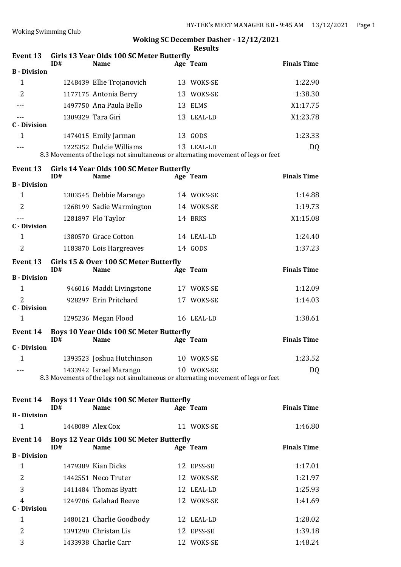|                                        |     |                                                                                                               | <b>Results</b> |                    |
|----------------------------------------|-----|---------------------------------------------------------------------------------------------------------------|----------------|--------------------|
| Event 13                               | ID# | Girls 13 Year Olds 100 SC Meter Butterfly<br><b>Name</b>                                                      | Age Team       | <b>Finals Time</b> |
| <b>B</b> - Division                    |     |                                                                                                               |                |                    |
| 1                                      |     | 1248439 Ellie Trojanovich                                                                                     | 13 WOKS-SE     | 1:22.90            |
| $\overline{2}$                         |     | 1177175 Antonia Berry                                                                                         | 13 WOKS-SE     | 1:38.30            |
|                                        |     | 1497750 Ana Paula Bello                                                                                       | 13 ELMS        | X1:17.75           |
|                                        |     | 1309329 Tara Giri                                                                                             | 13 LEAL-LD     | X1:23.78           |
| <b>C</b> - Division                    |     |                                                                                                               |                |                    |
| $\mathbf{1}$                           |     | 1474015 Emily Jarman                                                                                          | 13 GODS        | 1:23.33            |
|                                        |     | 1225352 Dulcie Williams<br>8.3 Movements of the legs not simultaneous or alternating movement of legs or feet | 13 LEAL-LD     | DQ                 |
| <b>Event 13</b>                        |     | Girls 14 Year Olds 100 SC Meter Butterfly                                                                     |                |                    |
| <b>B</b> - Division                    | ID# | <b>Name</b>                                                                                                   | Age Team       | <b>Finals Time</b> |
| $\mathbf{1}$                           |     | 1303545 Debbie Marango                                                                                        | 14 WOKS-SE     | 1:14.88            |
| $\overline{2}$                         |     | 1268199 Sadie Warmington                                                                                      | 14 WOKS-SE     | 1:19.73            |
|                                        |     | 1281897 Flo Taylor                                                                                            | 14 BRKS        | X1:15.08           |
| <b>C</b> - Division                    |     |                                                                                                               |                |                    |
| $\mathbf{1}$                           |     | 1380570 Grace Cotton                                                                                          | 14 LEAL-LD     | 1:24.40            |
| $\overline{2}$                         |     | 1183870 Lois Hargreaves                                                                                       | 14 GODS        | 1:37.23            |
| <b>Event 13</b>                        | ID# | Girls 15 & Over 100 SC Meter Butterfly<br><b>Name</b>                                                         | Age Team       | <b>Finals Time</b> |
| <b>B</b> - Division                    |     |                                                                                                               |                |                    |
| $\mathbf{1}$                           |     | 946016 Maddi Livingstone                                                                                      | 17 WOKS-SE     | 1:12.09            |
| $\overline{2}$<br><b>C</b> - Division  |     | 928297 Erin Pritchard                                                                                         | 17 WOKS-SE     | 1:14.03            |
| $\mathbf{1}$                           |     | 1295236 Megan Flood                                                                                           | 16 LEAL-LD     | 1:38.61            |
| Event 14                               | ID# | <b>Boys 10 Year Olds 100 SC Meter Butterfly</b><br><b>Name</b>                                                | Age Team       | <b>Finals Time</b> |
| <b>C</b> - Division                    |     |                                                                                                               |                |                    |
| $\mathbf{1}$                           |     | 1393523 Joshua Hutchinson                                                                                     | 10 WOKS-SE     | 1:23.52            |
|                                        |     | 1433942 Israel Marango<br>8.3 Movements of the legs not simultaneous or alternating movement of legs or feet  | 10 WOKS-SE     | DQ                 |
| Event 14                               |     | <b>Boys 11 Year Olds 100 SC Meter Butterfly</b>                                                               |                |                    |
|                                        | ID# | <b>Name</b>                                                                                                   | Age Team       | <b>Finals Time</b> |
| <b>B</b> - Division<br>$\mathbf{1}$    |     | 1448089 Alex Cox                                                                                              | 11 WOKS-SE     | 1:46.80            |
|                                        |     |                                                                                                               |                |                    |
| <b>Event 14</b><br><b>B</b> - Division | ID# | <b>Boys 12 Year Olds 100 SC Meter Butterfly</b><br><b>Name</b>                                                | Age Team       | <b>Finals Time</b> |
| $\mathbf{1}$                           |     | 1479389 Kian Dicks                                                                                            | 12 EPSS-SE     | 1:17.01            |
| 2                                      |     | 1442551 Neco Truter                                                                                           | 12 WOKS-SE     | 1:21.97            |
| 3                                      |     | 1411484 Thomas Byatt                                                                                          | 12 LEAL-LD     | 1:25.93            |
| 4                                      |     | 1249706 Galahad Reeve                                                                                         | 12 WOKS-SE     | 1:41.69            |
| <b>C</b> - Division                    |     |                                                                                                               |                |                    |
| $\mathbf{1}$                           |     | 1480121 Charlie Goodbody                                                                                      | 12 LEAL-LD     | 1:28.02            |
| 2                                      |     | 1391290 Christan Lis                                                                                          | 12 EPSS-SE     | 1:39.18            |

3 1433938 Charlie Carr 12 WOKS-SE 1:48.24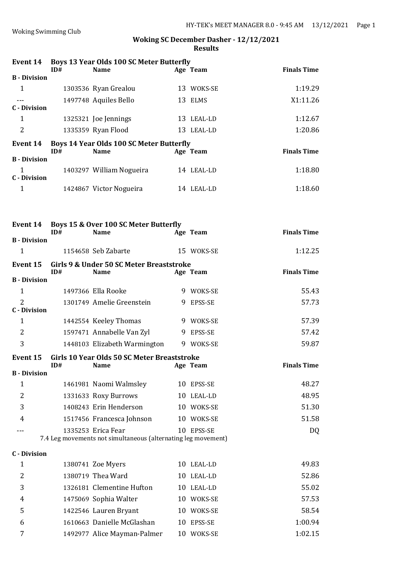| Event 14                            | ID# | <b>Boys 13 Year Olds 100 SC Meter Butterfly</b><br><b>Name</b>                      | Age Team   | <b>Finals Time</b> |
|-------------------------------------|-----|-------------------------------------------------------------------------------------|------------|--------------------|
| <b>B</b> - Division                 |     |                                                                                     |            |                    |
| $\mathbf{1}$                        |     | 1303536 Ryan Grealou                                                                | 13 WOKS-SE | 1:19.29            |
|                                     |     | 1497748 Aquiles Bello                                                               | 13 ELMS    | X1:11.26           |
| <b>C</b> - Division                 |     |                                                                                     |            |                    |
| $\mathbf{1}$                        |     | 1325321 Joe Jennings                                                                | 13 LEAL-LD | 1:12.67            |
| $\overline{2}$                      |     | 1335359 Ryan Flood                                                                  | 13 LEAL-LD | 1:20.86            |
| <b>Event 14</b>                     | ID# | <b>Boys 14 Year Olds 100 SC Meter Butterfly</b><br><b>Name</b>                      | Age Team   | <b>Finals Time</b> |
| <b>B</b> - Division                 |     |                                                                                     |            |                    |
| $\mathbf{1}$<br><b>C</b> - Division |     | 1403297 William Nogueira                                                            | 14 LEAL-LD | 1:18.80            |
| $\mathbf{1}$                        |     | 1424867 Victor Nogueira                                                             | 14 LEAL-LD | 1:18.60            |
| Event 14                            | ID# | Boys 15 & Over 100 SC Meter Butterfly<br><b>Name</b>                                |            | <b>Finals Time</b> |
| <b>B</b> - Division                 |     |                                                                                     | Age Team   |                    |
| $\mathbf{1}$                        |     | 1154658 Seb Zabarte                                                                 | 15 WOKS-SE | 1:12.25            |
| <b>Event 15</b>                     | ID# | Girls 9 & Under 50 SC Meter Breaststroke<br><b>Name</b>                             | Age Team   | <b>Finals Time</b> |
| <b>B</b> - Division                 |     |                                                                                     |            |                    |
| $\mathbf{1}$                        |     | 1497366 Ella Rooke                                                                  | 9 WOKS-SE  | 55.43              |
| 2<br><b>C</b> - Division            |     | 1301749 Amelie Greenstein                                                           | 9 EPSS-SE  | 57.73              |
| $\mathbf{1}$                        |     | 1442554 Keeley Thomas                                                               | 9 WOKS-SE  | 57.39              |
| $\overline{2}$                      |     | 1597471 Annabelle Van Zyl                                                           | 9 EPSS-SE  | 57.42              |
| 3                                   |     | 1448103 Elizabeth Warmington                                                        | 9 WOKS-SE  | 59.87              |
|                                     | ID# | Event 15 Girls 10 Year Olds 50 SC Meter Breaststroke<br><b>Name</b>                 | Age Team   | <b>Finals Time</b> |
| <b>B</b> - Division                 |     |                                                                                     |            |                    |
| $\mathbf{1}$                        |     | 1461981 Naomi Walmsley                                                              | 10 EPSS-SE | 48.27              |
| 2                                   |     | 1331633 Roxy Burrows                                                                | 10 LEAL-LD | 48.95              |
| 3                                   |     | 1408243 Erin Henderson                                                              | 10 WOKS-SE | 51.30              |
| 4                                   |     | 1517456 Francesca Johnson                                                           | 10 WOKS-SE | 51.58              |
|                                     |     | 1335253 Erica Fear<br>7.4 Leg movements not simultaneous (alternating leg movement) | 10 EPSS-SE | DQ                 |
| <b>C</b> - Division                 |     |                                                                                     |            |                    |
| $\mathbf{1}$                        |     | 1380741 Zoe Myers                                                                   | 10 LEAL-LD | 49.83              |
| 2                                   |     | 1380719 Thea Ward                                                                   | 10 LEAL-LD | 52.86              |
| 3                                   |     | 1326181 Clementine Hufton                                                           | 10 LEAL-LD | 55.02              |
| 4                                   |     | 1475069 Sophia Walter                                                               | 10 WOKS-SE | 57.53              |
| 5                                   |     | 1422546 Lauren Bryant                                                               | 10 WOKS-SE | 58.54              |
| 6                                   |     | 1610663 Danielle McGlashan                                                          | 10 EPSS-SE | 1:00.94            |
| 7                                   |     | 1492977 Alice Mayman-Palmer                                                         | 10 WOKS-SE | 1:02.15            |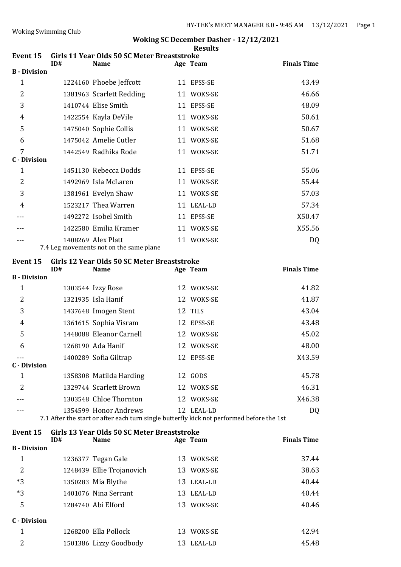| <b>Event 15</b>          | ID# | Girls 11 Year Olds 50 SC Meter Breaststroke<br><b>Name</b>                                                         | Age Team   | <b>Finals Time</b> |
|--------------------------|-----|--------------------------------------------------------------------------------------------------------------------|------------|--------------------|
| <b>B</b> - Division      |     |                                                                                                                    |            |                    |
| $\mathbf{1}$             |     | 1224160 Phoebe Jeffcott                                                                                            | 11 EPSS-SE | 43.49              |
| $\overline{2}$           |     | 1381963 Scarlett Redding                                                                                           | 11 WOKS-SE | 46.66              |
| 3                        |     | 1410744 Elise Smith                                                                                                | 11 EPSS-SE | 48.09              |
| 4                        |     | 1422554 Kayla DeVile                                                                                               | 11 WOKS-SE | 50.61              |
| 5                        |     | 1475040 Sophie Collis                                                                                              | 11 WOKS-SE | 50.67              |
| 6                        |     | 1475042 Amelie Cutler                                                                                              | 11 WOKS-SE | 51.68              |
| 7<br><b>C</b> - Division |     | 1442549 Radhika Rode                                                                                               | 11 WOKS-SE | 51.71              |
| 1                        |     | 1451130 Rebecca Dodds                                                                                              | 11 EPSS-SE | 55.06              |
| 2                        |     | 1492969 Isla McLaren                                                                                               | 11 WOKS-SE | 55.44              |
| 3                        |     | 1381961 Evelyn Shaw                                                                                                | 11 WOKS-SE | 57.03              |
| 4                        |     | 1523217 Thea Warren                                                                                                | 11 LEAL-LD | 57.34              |
|                          |     | 1492272 Isobel Smith                                                                                               | 11 EPSS-SE | X50.47             |
|                          |     | 1422580 Emilia Kramer                                                                                              | 11 WOKS-SE | X55.56             |
|                          |     | 1408269 Alex Platt<br>7.4 Leg movements not on the same plane                                                      | 11 WOKS-SE | DQ                 |
| Event 15                 | ID# | Girls 12 Year Olds 50 SC Meter Breaststroke<br><b>Name</b>                                                         | Age Team   | <b>Finals Time</b> |
| <b>B</b> - Division      |     |                                                                                                                    |            |                    |
| $\mathbf{1}$             |     | 1303544 Izzy Rose                                                                                                  | 12 WOKS-SE | 41.82              |
| 2                        |     | 1321935 Isla Hanif                                                                                                 | 12 WOKS-SE | 41.87              |
| 3                        |     | 1437648 Imogen Stent                                                                                               | 12 TILS    | 43.04              |
| 4                        |     | 1361615 Sophia Visram                                                                                              | 12 EPSS-SE | 43.48              |
| 5                        |     | 1448088 Eleanor Carnell                                                                                            | 12 WOKS-SE | 45.02              |
| 6                        |     | 1268190 Ada Hanif                                                                                                  | 12 WOKS-SE | 48.00              |
| ---                      |     | 1400289 Sofia Giltrap                                                                                              | 12 EPSS-SE | X43.59             |
| <b>C</b> - Division      |     |                                                                                                                    |            |                    |
| $\mathbf{1}$             |     | 1358308 Matilda Harding                                                                                            | 12 GODS    | 45.78              |
| 2                        |     | 1329744 Scarlett Brown                                                                                             | 12 WOKS-SE | 46.31              |
|                          |     | 1303548 Chloe Thornton                                                                                             | 12 WOKS-SE | X46.38             |
|                          |     | 1354599 Honor Andrews<br>7.1 After the start or after each turn single butterfly kick not performed before the 1st | 12 LEAL-LD | DQ                 |
| <b>Event 15</b>          | ID# | Girls 13 Year Olds 50 SC Meter Breaststroke<br><b>Name</b>                                                         | Age Team   | <b>Finals Time</b> |

|                     | 1.V# | Name                      |    | нде теаш   | гшагэ гше |
|---------------------|------|---------------------------|----|------------|-----------|
| <b>B</b> - Division |      |                           |    |            |           |
| 1                   |      | 1236377 Tegan Gale        |    | 13 WOKS-SE | 37.44     |
| 2                   |      | 1248439 Ellie Trojanovich |    | 13 WOKS-SE | 38.63     |
| $*3$                |      | 1350283 Mia Blythe        |    | 13 LEAL-LD | 40.44     |
| $*3$                |      | 1401076 Nina Serrant      |    | 13 LEAL-LD | 40.44     |
| 5                   |      | 1284740 Abi Elford        |    | 13 WOKS-SE | 40.46     |
| <b>C</b> - Division |      |                           |    |            |           |
| 1                   |      | 1268200 Ella Pollock      | 13 | WOKS-SE    | 42.94     |
| 2                   |      | 1501386 Lizzy Goodbody    |    | 13 LEAL-LD | 45.48     |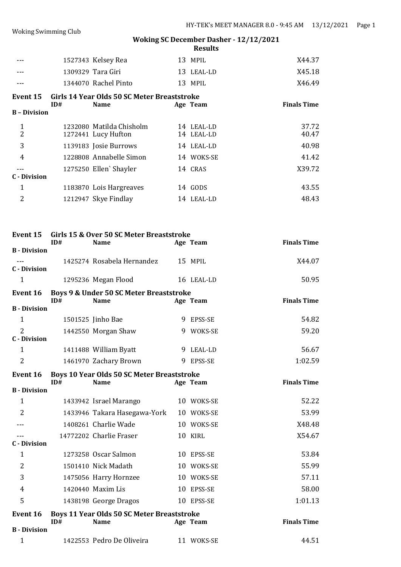|                                     |     | 1527343 Kelsey Rea                                               | 13 MPIL                  | X44.37             |
|-------------------------------------|-----|------------------------------------------------------------------|--------------------------|--------------------|
|                                     |     | 1309329 Tara Giri                                                | 13 LEAL-LD               | X45.18             |
| ---                                 |     | 1344070 Rachel Pinto                                             | 13 MPIL                  | X46.49             |
| <b>Event 15</b>                     |     | Girls 14 Year Olds 50 SC Meter Breaststroke                      |                          |                    |
| <b>B</b> - Division                 | ID# | <b>Name</b>                                                      | Age Team                 | <b>Finals Time</b> |
|                                     |     |                                                                  |                          |                    |
| $\mathbf{1}$<br>2                   |     | 1232080 Matilda Chisholm<br>1272441 Lucy Hufton                  | 14 LEAL-LD<br>14 LEAL-LD | 37.72<br>40.47     |
| 3                                   |     | 1139183 Josie Burrows                                            | 14 LEAL-LD               | 40.98              |
| 4                                   |     | 1228808 Annabelle Simon                                          | 14 WOKS-SE               | 41.42              |
| $---$                               |     | 1275250 Ellen' Shayler                                           | 14 CRAS                  | X39.72             |
| <b>C</b> - Division                 |     |                                                                  |                          |                    |
| 1                                   |     | 1183870 Lois Hargreaves                                          | 14 GODS                  | 43.55              |
| 2                                   |     | 1212947 Skye Findlay                                             | 14 LEAL-LD               | 48.43              |
|                                     |     |                                                                  |                          |                    |
| Event 15                            | ID# | Girls 15 & Over 50 SC Meter Breaststroke<br><b>Name</b>          | Age Team                 | <b>Finals Time</b> |
| <b>B</b> - Division                 |     |                                                                  |                          |                    |
| $---$<br><b>C</b> - Division        |     | 1425274 Rosabela Hernandez                                       | 15 MPIL                  | X44.07             |
| 1                                   |     | 1295236 Megan Flood                                              | 16 LEAL-LD               | 50.95              |
| Event 16                            |     | Boys 9 & Under 50 SC Meter Breaststroke                          |                          |                    |
| <b>B</b> - Division                 | ID# | <b>Name</b>                                                      | Age Team                 | <b>Finals Time</b> |
| $\mathbf{1}$                        |     | 1501525 Jinho Bae                                                | 9 EPSS-SE                | 54.82              |
| $\overline{2}$                      |     | 1442550 Morgan Shaw                                              | 9 WOKS-SE                | 59.20              |
| <b>C</b> - Division                 |     |                                                                  |                          |                    |
| $\mathbf 1$                         |     | 1411488 William Byatt                                            | 9 LEAL-LD                | 56.67              |
| $\overline{2}$                      |     | 1461970 Zachary Brown                                            | 9 EPSS-SE                | 1:02.59            |
| Event 16                            |     | <b>Boys 10 Year Olds 50 SC Meter Breaststroke</b>                |                          |                    |
| <b>B</b> - Division                 | ID# | <b>Name</b>                                                      | Age Team                 | <b>Finals Time</b> |
| 1                                   |     | 1433942 Israel Marango                                           | 10 WOKS-SE               | 52.22              |
| 2                                   |     | 1433946 Takara Hasegawa-York                                     | 10 WOKS-SE               | 53.99              |
|                                     |     | 1408261 Charlie Wade                                             | 10 WOKS-SE               | X48.48             |
|                                     |     | 14772202 Charlie Fraser                                          | 10 KIRL                  | X54.67             |
| <b>C</b> - Division<br>$\mathbf{1}$ |     | 1273258 Oscar Salmon                                             |                          | 53.84              |
|                                     |     |                                                                  | 10 EPSS-SE               |                    |
| 2                                   |     | 1501410 Nick Madath                                              | 10 WOKS-SE               | 55.99              |
| 3                                   |     | 1475056 Harry Hornzee                                            | 10 WOKS-SE               | 57.11              |
| 4                                   |     | 1420440 Maxim Lis                                                | 10 EPSS-SE               | 58.00              |
| 5                                   |     | 1438198 George Dragos                                            | 10 EPSS-SE               | 1:01.13            |
| <b>Event 16</b>                     | ID# | <b>Boys 11 Year Olds 50 SC Meter Breaststroke</b><br><b>Name</b> | Age Team                 | <b>Finals Time</b> |
| <b>B</b> - Division                 |     |                                                                  |                          |                    |
|                                     |     |                                                                  |                          |                    |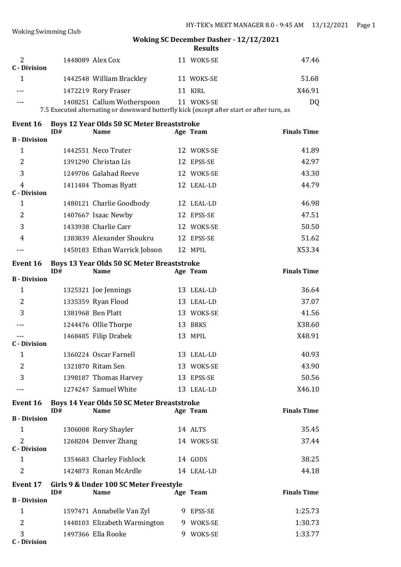|                                       |     |                                                                                                                         |    | <b>Results</b> |                    |
|---------------------------------------|-----|-------------------------------------------------------------------------------------------------------------------------|----|----------------|--------------------|
| 2<br><b>C</b> - Division              |     | 1448089 Alex Cox                                                                                                        |    | 11 WOKS-SE     | 47.46              |
| 1                                     |     | 1442548 William Brackley                                                                                                |    | 11 WOKS-SE     | 51.68              |
|                                       |     | 1472219 Rory Fraser                                                                                                     |    | 11 KIRL        | X46.91             |
|                                       |     | 1408251 Callum Wotherspoon<br>7.5 Executed alternating or downward butterfly kick (except after start or after turn, as |    | 11 WOKS-SE     | DQ                 |
|                                       |     |                                                                                                                         |    |                |                    |
| <b>Event 16</b>                       | ID# | <b>Boys 12 Year Olds 50 SC Meter Breaststroke</b><br><b>Name</b>                                                        |    | Age Team       | <b>Finals Time</b> |
| <b>B</b> - Division                   |     |                                                                                                                         |    |                |                    |
| $\mathbf{1}$                          |     | 1442551 Neco Truter                                                                                                     |    | 12 WOKS-SE     | 41.89              |
| 2                                     |     | 1391290 Christan Lis                                                                                                    |    | 12 EPSS-SE     | 42.97              |
| 3                                     |     | 1249706 Galahad Reeve                                                                                                   |    | 12 WOKS-SE     | 43.30              |
| 4<br><b>C</b> - Division              |     | 1411484 Thomas Byatt                                                                                                    |    | 12 LEAL-LD     | 44.79              |
| 1                                     |     | 1480121 Charlie Goodbody                                                                                                |    | 12 LEAL-LD     | 46.98              |
| 2                                     |     | 1407667 Isaac Newby                                                                                                     |    | 12 EPSS-SE     | 47.51              |
| 3                                     |     | 1433938 Charlie Carr                                                                                                    |    | 12 WOKS-SE     | 50.50              |
| 4                                     |     | 1383839 Alexander Shoukru                                                                                               |    | 12 EPSS-SE     | 51.62              |
|                                       |     | 1450183 Ethan Warrick Jobson                                                                                            |    | 12 MPIL        | X53.34             |
| <b>Event 16</b>                       | ID# | <b>Boys 13 Year Olds 50 SC Meter Breaststroke</b><br><b>Name</b>                                                        |    | Age Team       | <b>Finals Time</b> |
| <b>B</b> - Division                   |     |                                                                                                                         |    |                |                    |
| 1                                     |     | 1325321 Joe Jennings                                                                                                    |    | 13 LEAL-LD     | 36.64              |
| 2                                     |     | 1335359 Ryan Flood                                                                                                      | 13 | LEAL-LD        | 37.07              |
| 3                                     |     | 1381968 Ben Platt                                                                                                       |    | 13 WOKS-SE     | 41.56              |
|                                       |     | 1244476 Ollie Thorpe                                                                                                    |    | 13 BRKS        | X38.60             |
|                                       |     | 1468485 Filip Drabek                                                                                                    |    | 13 MPIL        | X48.91             |
| C - Division                          |     |                                                                                                                         |    |                |                    |
| 1                                     |     | 1360224 Oscar Farnell                                                                                                   |    | 13 LEAL-LD     | 40.93              |
| 2                                     |     | 1321870 Ritam Sen                                                                                                       |    | 13 WOKS-SE     | 43.90              |
| 3                                     |     | 1398187 Thomas Harvey                                                                                                   |    | 13 EPSS-SE     | 50.56              |
| ---                                   |     | 1274247 Samuel White                                                                                                    |    | 13 LEAL-LD     | X46.10             |
| <b>Event 16</b>                       | ID# | <b>Boys 14 Year Olds 50 SC Meter Breaststroke</b><br><b>Name</b>                                                        |    | Age Team       | <b>Finals Time</b> |
| <b>B</b> - Division                   |     |                                                                                                                         |    |                |                    |
| 1                                     |     | 1306008 Rory Shayler                                                                                                    |    | 14 ALTS        | 35.45              |
| $\overline{2}$<br><b>C</b> - Division |     | 1268204 Denver Zhang                                                                                                    |    | 14 WOKS-SE     | 37.44              |
| $\mathbf{1}$                          |     | 1354683 Charley Fishlock                                                                                                |    | 14 GODS        | 38.25              |
| 2                                     |     | 1424873 Ronan McArdle                                                                                                   |    | 14 LEAL-LD     | 44.18              |
| <b>Event 17</b>                       | ID# | Girls 9 & Under 100 SC Meter Freestyle<br><b>Name</b>                                                                   |    | Age Team       | <b>Finals Time</b> |
| <b>B</b> - Division                   |     |                                                                                                                         |    |                |                    |
| 1                                     |     | 1597471 Annabelle Van Zyl                                                                                               |    | 9 EPSS-SE      | 1:25.73            |
| 2                                     |     | 1448103 Elizabeth Warmington                                                                                            |    | 9 WOKS-SE      | 1:30.73            |
| 3<br><b>C</b> - Division              |     | 1497366 Ella Rooke                                                                                                      | 9  | WOKS-SE        | 1:33.77            |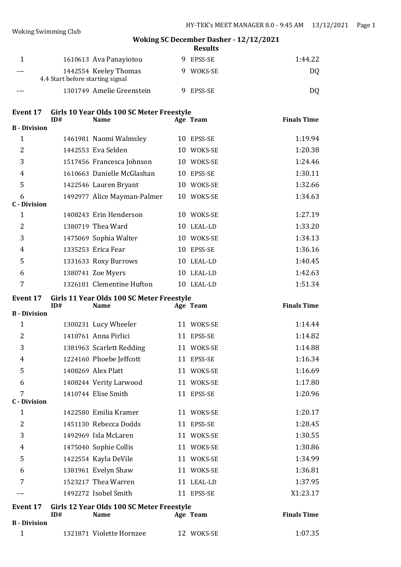|         |                                                           |  | .         |                |
|---------|-----------------------------------------------------------|--|-----------|----------------|
|         | 1610613 Ava Panayiotou                                    |  | 9 EPSS-SE | 1:44.22        |
| $- - -$ | 1442554 Keeley Thomas<br>4.4 Start before starting signal |  | WOKS-SE   | DO.            |
| $- - -$ | 1301749 Amelie Greenstein                                 |  | EPSS-SE   | D <sub>0</sub> |

# **Event 17 Girls 10 Year Olds 100 SC Meter Freestyle**

|                     | ID# | <b>Name</b>                 |    | Age Team   | <b>Finals Time</b> |
|---------------------|-----|-----------------------------|----|------------|--------------------|
| <b>B</b> - Division |     |                             |    |            |                    |
| 1                   |     | 1461981 Naomi Walmsley      | 10 | EPSS-SE    | 1:19.94            |
| $\overline{2}$      |     | 1442553 Eva Selden          | 10 | WOKS-SE    | 1:20.38            |
| 3                   |     | 1517456 Francesca Johnson   | 10 | WOKS-SE    | 1:24.46            |
| $\overline{4}$      |     | 1610663 Danielle McGlashan  |    | 10 EPSS-SE | 1:30.11            |
| 5                   |     | 1422546 Lauren Bryant       | 10 | WOKS-SE    | 1:32.66            |
| 6                   |     | 1492977 Alice Mayman-Palmer |    | 10 WOKS-SE | 1:34.63            |
| <b>C</b> - Division |     |                             |    |            |                    |
| $\mathbf{1}$        |     | 1408243 Erin Henderson      | 10 | WOKS-SE    | 1:27.19            |
| $\overline{2}$      |     | 1380719 Thea Ward           | 10 | LEAL-LD    | 1:33.20            |
| 3                   |     | 1475069 Sophia Walter       |    | 10 WOKS-SE | 1:34.13            |
| $\overline{4}$      |     | 1335253 Erica Fear          | 10 | EPSS-SE    | 1:36.16            |
| 5                   |     | 1331633 Roxy Burrows        |    | 10 LEAL-LD | 1:40.45            |
| 6                   |     | 1380741 Zoe Myers           | 10 | LEAL-LD    | 1:42.63            |
| 7                   |     | 1326181 Clementine Hufton   | 10 | LEAL-LD    | 1:51.34            |
|                     |     |                             |    |            |                    |

**ID# Name Age Team Finals Time**

#### **Event 17 Girls 11 Year Olds 100 SC Meter Freestyle**

| <b>B</b> - Division |                          |               |          |
|---------------------|--------------------------|---------------|----------|
| 1                   | 1300231 Lucy Wheeler     | 11 WOKS-SE    | 1:14.44  |
| $\overline{2}$      | 1410761 Anna Pirlici     | 11 EPSS-SE    | 1:14.82  |
| 3                   | 1381963 Scarlett Redding | 11 WOKS-SE    | 1:14.88  |
| $\overline{4}$      | 1224160 Phoebe Jeffcott  | 11 EPSS-SE    | 1:16.34  |
| 5                   | 1408269 Alex Platt       | 11 WOKS-SE    | 1:16.69  |
| 6                   | 1408244 Verity Larwood   | 11 WOKS-SE    | 1:17.80  |
| $\overline{7}$      | 1410744 Elise Smith      | 11 EPSS-SE    | 1:20.96  |
| <b>C</b> - Division |                          |               |          |
| 1                   | 1422580 Emilia Kramer    | 11 WOKS-SE    | 1:20.17  |
| $\overline{2}$      | 1451130 Rebecca Dodds    | 11 EPSS-SE    | 1:28.45  |
| 3                   | 1492969 Isla McLaren     | WOKS-SE<br>11 | 1:30.55  |
| 4                   | 1475040 Sophie Collis    | 11 WOKS-SE    | 1:30.86  |
| 5                   | 1422554 Kayla DeVile     | 11 WOKS-SE    | 1:34.99  |
| 6                   | 1381961 Evelyn Shaw      | 11 WOKS-SE    | 1:36.81  |
| 7                   | 1523217 Thea Warren      | 11 LEAL-LD    | 1:37.95  |
|                     | 1492272 Isobel Smith     | 11 EPSS-SE    | X1:23.17 |
|                     |                          |               |          |

| Event 17            | Girls 12 Year Olds 100 SC Meter Freestyle |                          |  |            |                    |  |
|---------------------|-------------------------------------------|--------------------------|--|------------|--------------------|--|
|                     | ID#                                       | <b>Name</b>              |  | Age Team   | <b>Finals Time</b> |  |
| <b>B</b> - Division |                                           |                          |  |            |                    |  |
|                     |                                           | 1321871 Violette Hornzee |  | 12 WOKS-SE | 1:07.35            |  |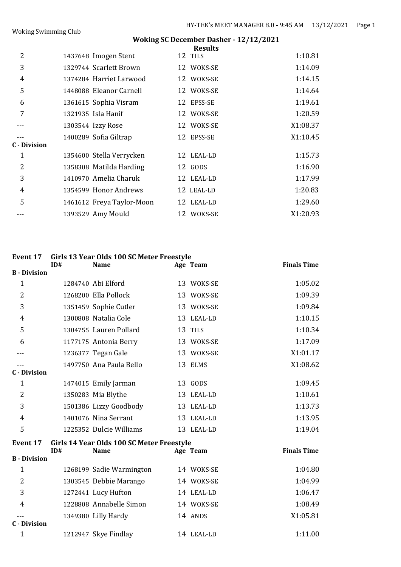|                     |                           | <b>Results</b> |          |
|---------------------|---------------------------|----------------|----------|
| $\overline{2}$      | 1437648 Imogen Stent      | 12 TILS        | 1:10.81  |
| 3                   | 1329744 Scarlett Brown    | 12 WOKS-SE     | 1:14.09  |
| $\overline{4}$      | 1374284 Harriet Larwood   | 12 WOKS-SE     | 1:14.15  |
| 5                   | 1448088 Eleanor Carnell   | 12 WOKS-SE     | 1:14.64  |
| 6                   | 1361615 Sophia Visram     | 12 EPSS-SE     | 1:19.61  |
| 7                   | 1321935 Isla Hanif        | 12 WOKS-SE     | 1:20.59  |
|                     | 1303544 Izzy Rose         | 12 WOKS-SE     | X1:08.37 |
|                     | 1400289 Sofia Giltrap     | 12 EPSS-SE     | X1:10.45 |
| <b>C</b> - Division |                           |                |          |
| 1                   | 1354600 Stella Verrycken  | 12 LEAL-LD     | 1:15.73  |
| $\overline{2}$      | 1358308 Matilda Harding   | 12 GODS        | 1:16.90  |
| 3                   | 1410970 Amelia Charuk     | 12 LEAL-LD     | 1:17.99  |
| $\overline{4}$      | 1354599 Honor Andrews     | 12 LEAL-LD     | 1:20.83  |
| 5                   | 1461612 Freya Taylor-Moon | 12 LEAL-LD     | 1:29.60  |
|                     | 1393529 Amy Mould         | 12 WOKS-SE     | X1:20.93 |

# **Event 17 Girls 13 Year Olds 100 SC Meter Freestyle**

|                     | ID#                                       | <b>Name</b>              |  | Age Team   | <b>Finals Time</b> |  |
|---------------------|-------------------------------------------|--------------------------|--|------------|--------------------|--|
| <b>B</b> - Division |                                           |                          |  |            |                    |  |
| $\mathbf{1}$        |                                           | 1284740 Abi Elford       |  | 13 WOKS-SE | 1:05.02            |  |
| 2                   |                                           | 1268200 Ella Pollock     |  | 13 WOKS-SE | 1:09.39            |  |
| 3                   |                                           | 1351459 Sophie Cutler    |  | 13 WOKS-SE | 1:09.84            |  |
| 4                   |                                           | 1300808 Natalia Cole     |  | 13 LEAL-LD | 1:10.15            |  |
| 5                   |                                           | 1304755 Lauren Pollard   |  | 13 TILS    | 1:10.34            |  |
| 6                   |                                           | 1177175 Antonia Berry    |  | 13 WOKS-SE | 1:17.09            |  |
|                     |                                           | 1236377 Tegan Gale       |  | 13 WOKS-SE | X1:01.17           |  |
|                     |                                           | 1497750 Ana Paula Bello  |  | 13 ELMS    | X1:08.62           |  |
| <b>C</b> - Division |                                           |                          |  |            |                    |  |
| $\mathbf{1}$        |                                           | 1474015 Emily Jarman     |  | 13 GODS    | 1:09.45            |  |
| $\overline{2}$      |                                           | 1350283 Mia Blythe       |  | 13 LEAL-LD | 1:10.61            |  |
| 3                   |                                           | 1501386 Lizzy Goodbody   |  | 13 LEAL-LD | 1:13.73            |  |
| $\overline{4}$      |                                           | 1401076 Nina Serrant     |  | 13 LEAL-LD | 1:13.95            |  |
| 5                   |                                           | 1225352 Dulcie Williams  |  | 13 LEAL-LD | 1:19.04            |  |
| <b>Event 17</b>     | Girls 14 Year Olds 100 SC Meter Freestyle |                          |  |            |                    |  |
|                     | ID#                                       | <b>Name</b>              |  | Age Team   | <b>Finals Time</b> |  |
| <b>B</b> - Division |                                           |                          |  |            |                    |  |
| $\mathbf{1}$        |                                           | 1268199 Sadie Warmington |  | 14 WOKS-SE | 1:04.80            |  |
| 2                   |                                           | 1303545 Debbie Marango   |  | 14 WOKS-SE | 1:04.99            |  |
| 3                   |                                           | 1272441 Lucy Hufton      |  | 14 LEAL-LD | 1:06.47            |  |
| 4                   |                                           | 1228808 Annabelle Simon  |  | 14 WOKS-SE | 1:08.49            |  |
|                     |                                           | 1349380 Lilly Hardy      |  | 14 ANDS    | X1:05.81           |  |
| <b>C</b> - Division |                                           |                          |  |            |                    |  |
| $\mathbf{1}$        |                                           | 1212947 Skye Findlay     |  | 14 LEAL-LD | 1:11.00            |  |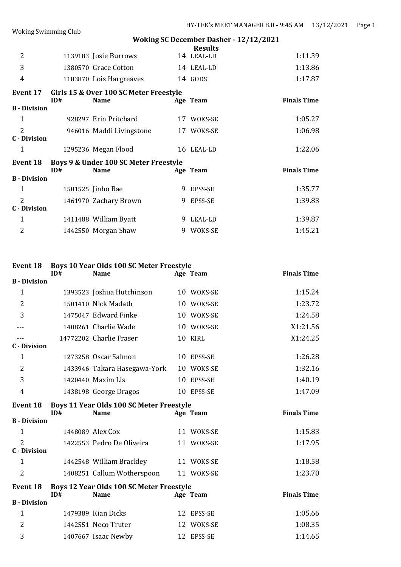| <b>Woking Swimming Club</b>           |     |                                                       |   |                |                    |
|---------------------------------------|-----|-------------------------------------------------------|---|----------------|--------------------|
|                                       |     | <b>Woking SC December Dasher - 12/12/2021</b>         |   |                |                    |
|                                       |     |                                                       |   | <b>Results</b> |                    |
| $\overline{2}$                        |     | 1139183 Josie Burrows                                 |   | 14 LEAL-LD     | 1:11.39            |
| 3                                     |     | 1380570 Grace Cotton                                  |   | 14 LEAL-LD     | 1:13.86            |
| 4                                     |     | 1183870 Lois Hargreaves                               |   | 14 GODS        | 1:17.87            |
| Event 17                              | ID# | Girls 15 & Over 100 SC Meter Freestyle<br><b>Name</b> |   | Age Team       | <b>Finals Time</b> |
| <b>B</b> - Division                   |     |                                                       |   |                |                    |
| $\mathbf{1}$                          |     | 928297 Erin Pritchard                                 |   | 17 WOKS-SE     | 1:05.27            |
| $\overline{2}$<br><b>C</b> - Division |     | 946016 Maddi Livingstone                              |   | 17 WOKS-SE     | 1:06.98            |
| 1                                     |     | 1295236 Megan Flood                                   |   | 16 LEAL-LD     | 1:22.06            |
| <b>Event 18</b>                       | ID# | Boys 9 & Under 100 SC Meter Freestyle<br><b>Name</b>  |   | Age Team       | <b>Finals Time</b> |
| <b>B</b> - Division                   |     |                                                       |   |                |                    |
| $\mathbf{1}$                          |     | 1501525 Jinho Bae                                     | 9 | EPSS-SE        | 1:35.77            |
| 2                                     |     | 1461970 Zachary Brown                                 | 9 | EPSS-SE        | 1:39.83            |
| <b>C</b> - Division                   |     |                                                       |   |                |                    |
| 1                                     |     | 1411488 William Byatt                                 | 9 | LEAL-LD        | 1:39.87            |
| $\overline{2}$                        |     | 1442550 Morgan Shaw                                   |   | 9 WOKS-SE      | 1:45.21            |

# **Event 18 Boys 10 Year Olds 100 SC Meter Freestyle**

|                                                             | ID# | <b>Name</b>                              |  | Age Team   | <b>Finals Time</b> |  |
|-------------------------------------------------------------|-----|------------------------------------------|--|------------|--------------------|--|
| <b>B</b> - Division                                         |     |                                          |  |            |                    |  |
| $\mathbf{1}$                                                |     | 1393523 Joshua Hutchinson                |  | 10 WOKS-SE | 1:15.24            |  |
| $\overline{2}$                                              |     | 1501410 Nick Madath                      |  | 10 WOKS-SE | 1:23.72            |  |
| 3                                                           |     | 1475047 Edward Finke                     |  | 10 WOKS-SE | 1:24.58            |  |
|                                                             |     | 1408261 Charlie Wade                     |  | 10 WOKS-SE | X1:21.56           |  |
|                                                             |     | 14772202 Charlie Fraser                  |  | 10 KIRL    | X1:24.25           |  |
| C - Division                                                |     |                                          |  |            |                    |  |
| 1                                                           |     | 1273258 Oscar Salmon                     |  | 10 EPSS-SE | 1:26.28            |  |
| 2                                                           |     | 1433946 Takara Hasegawa-York             |  | 10 WOKS-SE | 1:32.16            |  |
| 3                                                           |     | 1420440 Maxim Lis                        |  | 10 EPSS-SE | 1:40.19            |  |
| 4                                                           |     | 1438198 George Dragos                    |  | 10 EPSS-SE | 1:47.09            |  |
| Boys 11 Year Olds 100 SC Meter Freestyle<br><b>Event 18</b> |     |                                          |  |            |                    |  |
|                                                             |     |                                          |  |            |                    |  |
|                                                             | ID# | <b>Name</b>                              |  | Age Team   | <b>Finals Time</b> |  |
| <b>B</b> - Division                                         |     |                                          |  |            |                    |  |
| 1                                                           |     | 1448089 Alex Cox                         |  | 11 WOKS-SE | 1:15.83            |  |
| $\overline{2}$                                              |     | 1422553 Pedro De Oliveira                |  | 11 WOKS-SE | 1:17.95            |  |
| <b>C</b> - Division                                         |     |                                          |  |            |                    |  |
| $\mathbf{1}$                                                |     | 1442548 William Brackley                 |  | 11 WOKS-SE | 1:18.58            |  |
| 2                                                           |     | 1408251 Callum Wotherspoon               |  | 11 WOKS-SE | 1:23.70            |  |
| <b>Event 18</b>                                             |     | Boys 12 Year Olds 100 SC Meter Freestyle |  |            |                    |  |
|                                                             | ID# | <b>Name</b>                              |  | Age Team   | <b>Finals Time</b> |  |
| <b>B</b> - Division                                         |     |                                          |  |            |                    |  |
| 1                                                           |     | 1479389 Kian Dicks                       |  | 12 EPSS-SE | 1:05.66            |  |
| 2                                                           |     | 1442551 Neco Truter                      |  | 12 WOKS-SE | 1:08.35            |  |